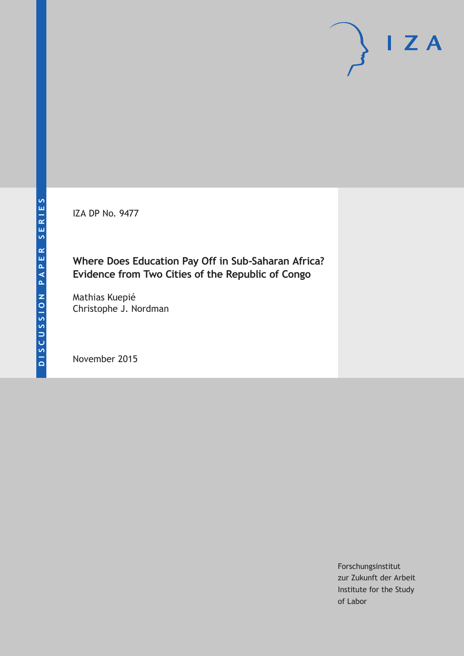IZA DP No. 9477

# **Where Does Education Pay Off in Sub-Saharan Africa? Evidence from Two Cities of the Republic of Congo**

Mathias Kuepié Christophe J. Nordman

November 2015

Forschungsinstitut zur Zukunft der Arbeit Institute for the Study of Labor

 $I Z A$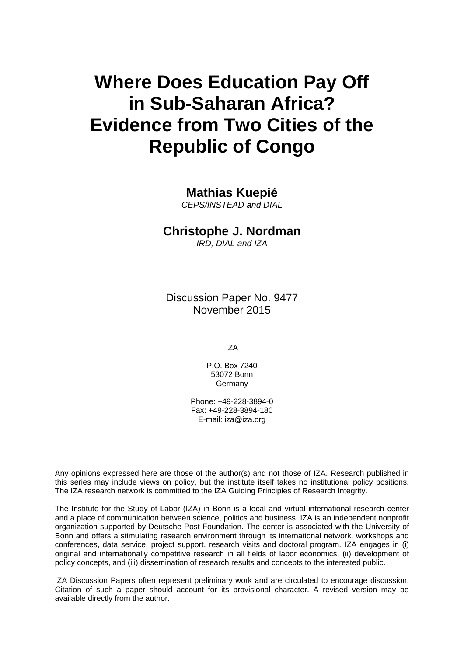# **Where Does Education Pay Off in Sub-Saharan Africa? Evidence from Two Cities of the Republic of Congo**

# **Mathias Kuepié**

*CEPS/INSTEAD and DIAL* 

# **Christophe J. Nordman**

*IRD, DIAL and IZA* 

Discussion Paper No. 9477 November 2015

IZA

P.O. Box 7240 53072 Bonn Germany

Phone: +49-228-3894-0 Fax: +49-228-3894-180 E-mail: iza@iza.org

Any opinions expressed here are those of the author(s) and not those of IZA. Research published in this series may include views on policy, but the institute itself takes no institutional policy positions. The IZA research network is committed to the IZA Guiding Principles of Research Integrity.

The Institute for the Study of Labor (IZA) in Bonn is a local and virtual international research center and a place of communication between science, politics and business. IZA is an independent nonprofit organization supported by Deutsche Post Foundation. The center is associated with the University of Bonn and offers a stimulating research environment through its international network, workshops and conferences, data service, project support, research visits and doctoral program. IZA engages in (i) original and internationally competitive research in all fields of labor economics, (ii) development of policy concepts, and (iii) dissemination of research results and concepts to the interested public.

IZA Discussion Papers often represent preliminary work and are circulated to encourage discussion. Citation of such a paper should account for its provisional character. A revised version may be available directly from the author.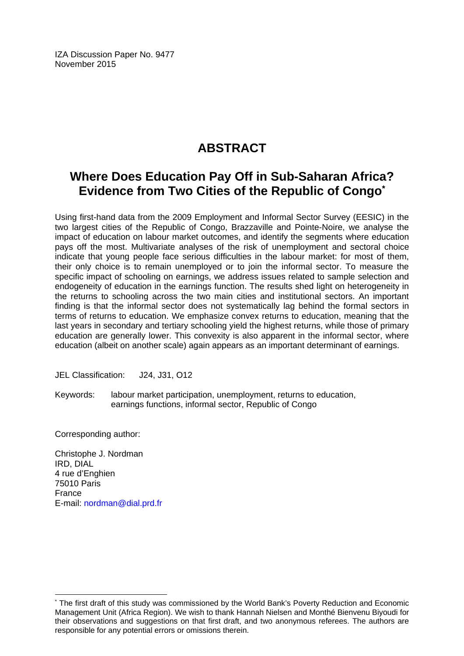IZA Discussion Paper No. 9477 November 2015

# **ABSTRACT**

# **Where Does Education Pay Off in Sub-Saharan Africa? Evidence from Two Cities of the Republic of Congo\***

Using first-hand data from the 2009 Employment and Informal Sector Survey (EESIC) in the two largest cities of the Republic of Congo, Brazzaville and Pointe-Noire, we analyse the impact of education on labour market outcomes, and identify the segments where education pays off the most. Multivariate analyses of the risk of unemployment and sectoral choice indicate that young people face serious difficulties in the labour market: for most of them, their only choice is to remain unemployed or to join the informal sector. To measure the specific impact of schooling on earnings, we address issues related to sample selection and endogeneity of education in the earnings function. The results shed light on heterogeneity in the returns to schooling across the two main cities and institutional sectors. An important finding is that the informal sector does not systematically lag behind the formal sectors in terms of returns to education. We emphasize convex returns to education, meaning that the last years in secondary and tertiary schooling yield the highest returns, while those of primary education are generally lower. This convexity is also apparent in the informal sector, where education (albeit on another scale) again appears as an important determinant of earnings.

JEL Classification: J24, J31, O12

Keywords: labour market participation, unemployment, returns to education, earnings functions, informal sector, Republic of Congo

Corresponding author:

Christophe J. Nordman IRD, DIAL 4 rue d'Enghien 75010 Paris France E-mail: nordman@dial.prd.fr

 $\overline{\phantom{a}}$ 

<sup>\*</sup> The first draft of this study was commissioned by the World Bank's Poverty Reduction and Economic Management Unit (Africa Region). We wish to thank Hannah Nielsen and Monthé Bienvenu Biyoudi for their observations and suggestions on that first draft, and two anonymous referees. The authors are responsible for any potential errors or omissions therein.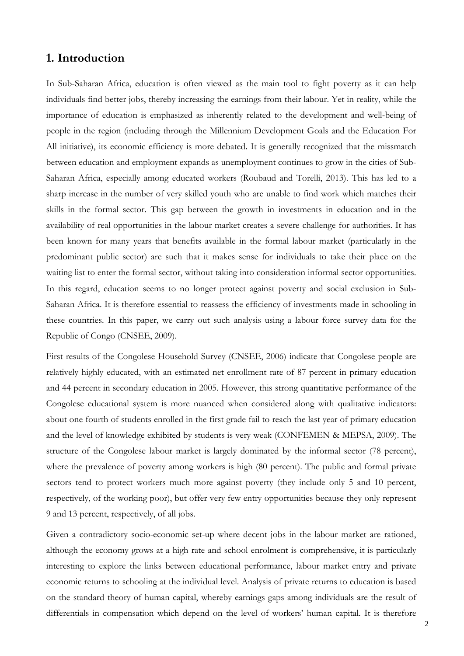# **1. Introduction**

In Sub-Saharan Africa, education is often viewed as the main tool to fight poverty as it can help individuals find better jobs, thereby increasing the earnings from their labour. Yet in reality, while the importance of education is emphasized as inherently related to the development and well-being of people in the region (including through the Millennium Development Goals and the Education For All initiative), its economic efficiency is more debated. It is generally recognized that the missmatch between education and employment expands as unemployment continues to grow in the cities of Sub-Saharan Africa, especially among educated workers (Roubaud and Torelli, 2013). This has led to a sharp increase in the number of very skilled youth who are unable to find work which matches their skills in the formal sector. This gap between the growth in investments in education and in the availability of real opportunities in the labour market creates a severe challenge for authorities. It has been known for many years that benefits available in the formal labour market (particularly in the predominant public sector) are such that it makes sense for individuals to take their place on the waiting list to enter the formal sector, without taking into consideration informal sector opportunities. In this regard, education seems to no longer protect against poverty and social exclusion in Sub-Saharan Africa. It is therefore essential to reassess the efficiency of investments made in schooling in these countries. In this paper, we carry out such analysis using a labour force survey data for the Republic of Congo (CNSEE, 2009).

First results of the Congolese Household Survey (CNSEE, 2006) indicate that Congolese people are relatively highly educated, with an estimated net enrollment rate of 87 percent in primary education and 44 percent in secondary education in 2005. However, this strong quantitative performance of the Congolese educational system is more nuanced when considered along with qualitative indicators: about one fourth of students enrolled in the first grade fail to reach the last year of primary education and the level of knowledge exhibited by students is very weak (CONFEMEN & MEPSA, 2009). The structure of the Congolese labour market is largely dominated by the informal sector (78 percent), where the prevalence of poverty among workers is high (80 percent). The public and formal private sectors tend to protect workers much more against poverty (they include only 5 and 10 percent, respectively, of the working poor), but offer very few entry opportunities because they only represent 9 and 13 percent, respectively, of all jobs.

Given a contradictory socio-economic set-up where decent jobs in the labour market are rationed, although the economy grows at a high rate and school enrolment is comprehensive, it is particularly interesting to explore the links between educational performance, labour market entry and private economic returns to schooling at the individual level. Analysis of private returns to education is based on the standard theory of human capital, whereby earnings gaps among individuals are the result of differentials in compensation which depend on the level of workers' human capital. It is therefore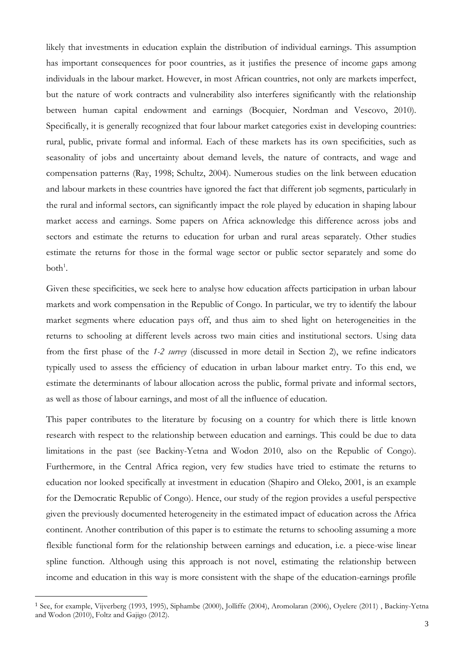likely that investments in education explain the distribution of individual earnings. This assumption has important consequences for poor countries, as it justifies the presence of income gaps among individuals in the labour market. However, in most African countries, not only are markets imperfect, but the nature of work contracts and vulnerability also interferes significantly with the relationship between human capital endowment and earnings (Bocquier, Nordman and Vescovo, 2010). Specifically, it is generally recognized that four labour market categories exist in developing countries: rural, public, private formal and informal. Each of these markets has its own specificities, such as seasonality of jobs and uncertainty about demand levels, the nature of contracts, and wage and compensation patterns (Ray, 1998; Schultz, 2004). Numerous studies on the link between education and labour markets in these countries have ignored the fact that different job segments, particularly in the rural and informal sectors, can significantly impact the role played by education in shaping labour market access and earnings. Some papers on Africa acknowledge this difference across jobs and sectors and estimate the returns to education for urban and rural areas separately. Other studies estimate the returns for those in the formal wage sector or public sector separately and some do  $both<sup>1</sup>$ .

Given these specificities, we seek here to analyse how education affects participation in urban labour markets and work compensation in the Republic of Congo. In particular, we try to identify the labour market segments where education pays off, and thus aim to shed light on heterogeneities in the returns to schooling at different levels across two main cities and institutional sectors. Using data from the first phase of the *1-2 survey* (discussed in more detail in Section 2), we refine indicators typically used to assess the efficiency of education in urban labour market entry. To this end, we estimate the determinants of labour allocation across the public, formal private and informal sectors, as well as those of labour earnings, and most of all the influence of education.

This paper contributes to the literature by focusing on a country for which there is little known research with respect to the relationship between education and earnings. This could be due to data limitations in the past (see Backiny-Yetna and Wodon 2010, also on the Republic of Congo). Furthermore, in the Central Africa region, very few studies have tried to estimate the returns to education nor looked specifically at investment in education (Shapiro and Oleko, 2001, is an example for the Democratic Republic of Congo). Hence, our study of the region provides a useful perspective given the previously documented heterogeneity in the estimated impact of education across the Africa continent. Another contribution of this paper is to estimate the returns to schooling assuming a more flexible functional form for the relationship between earnings and education, i.e. a piece-wise linear spline function. Although using this approach is not novel, estimating the relationship between income and education in this way is more consistent with the shape of the education-earnings profile

<sup>1</sup> See, for example, Vijverberg (1993, 1995), Siphambe (2000), Jolliffe (2004), Aromolaran (2006), Oyelere (2011) , Backiny-Yetna and Wodon (2010), Foltz and Gajigo (2012).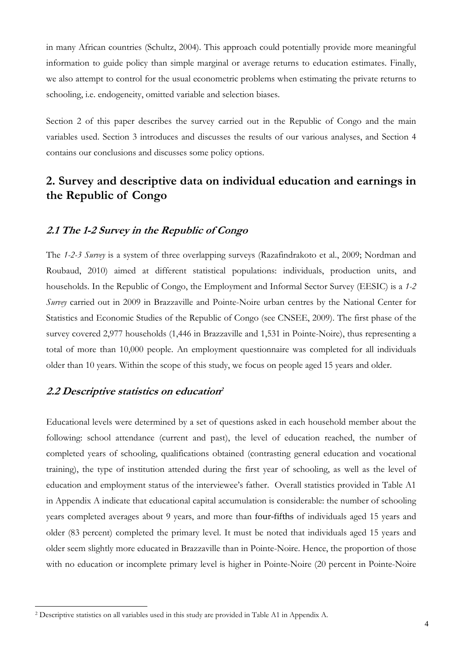in many African countries (Schultz, 2004). This approach could potentially provide more meaningful information to guide policy than simple marginal or average returns to education estimates. Finally, we also attempt to control for the usual econometric problems when estimating the private returns to schooling, i.e. endogeneity, omitted variable and selection biases.

Section 2 of this paper describes the survey carried out in the Republic of Congo and the main variables used. Section 3 introduces and discusses the results of our various analyses, and Section 4 contains our conclusions and discusses some policy options.

# **2. Survey and descriptive data on individual education and earnings in the Republic of Congo**

# **2.1 The 1-2 Survey in the Republic of Congo**

The *1-2-3 Survey* is a system of three overlapping surveys (Razafindrakoto et al., 2009; Nordman and Roubaud, 2010) aimed at different statistical populations: individuals, production units, and households. In the Republic of Congo, the Employment and Informal Sector Survey (EESIC) is a *1-2 Survey* carried out in 2009 in Brazzaville and Pointe-Noire urban centres by the National Center for Statistics and Economic Studies of the Republic of Congo (see CNSEE, 2009). The first phase of the survey covered 2,977 households (1,446 in Brazzaville and 1,531 in Pointe-Noire), thus representing a total of more than 10,000 people. An employment questionnaire was completed for all individuals older than 10 years. Within the scope of this study, we focus on people aged 15 years and older.

### **2.2 Descriptive statistics on education<sup>2</sup>**

 $\ddot{\phantom{a}}$ 

Educational levels were determined by a set of questions asked in each household member about the following: school attendance (current and past), the level of education reached, the number of completed years of schooling, qualifications obtained (contrasting general education and vocational training), the type of institution attended during the first year of schooling, as well as the level of education and employment status of the interviewee's father. Overall statistics provided in Table A1 in Appendix A indicate that educational capital accumulation is considerable: the number of schooling years completed averages about 9 years, and more than four-fifths of individuals aged 15 years and older (83 percent) completed the primary level. It must be noted that individuals aged 15 years and older seem slightly more educated in Brazzaville than in Pointe-Noire. Hence, the proportion of those with no education or incomplete primary level is higher in Pointe-Noire (20 percent in Pointe-Noire

<sup>2</sup> Descriptive statistics on all variables used in this study are provided in Table A1 in Appendix A.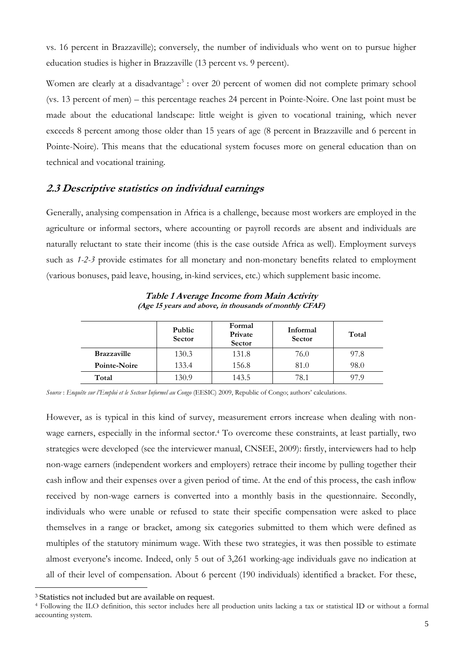vs. 16 percent in Brazzaville); conversely, the number of individuals who went on to pursue higher education studies is higher in Brazzaville (13 percent vs. 9 percent).

Women are clearly at a disadvantage<sup>3</sup> : over 20 percent of women did not complete primary school (vs. 13 percent of men) – this percentage reaches 24 percent in Pointe-Noire. One last point must be made about the educational landscape: little weight is given to vocational training, which never exceeds 8 percent among those older than 15 years of age (8 percent in Brazzaville and 6 percent in Pointe-Noire). This means that the educational system focuses more on general education than on technical and vocational training.

# **2.3 Descriptive statistics on individual earnings**

Generally, analysing compensation in Africa is a challenge, because most workers are employed in the agriculture or informal sectors, where accounting or payroll records are absent and individuals are naturally reluctant to state their income (this is the case outside Africa as well). Employment surveys such as *1-2-3* provide estimates for all monetary and non-monetary benefits related to employment (various bonuses, paid leave, housing, in-kind services, etc.) which supplement basic income.

|                    | Public<br>Sector | Formal<br>Private<br>Sector | Informal<br>Sector | Total |
|--------------------|------------------|-----------------------------|--------------------|-------|
| <b>Brazzaville</b> | 130.3            | 131.8                       | 76.0               | 97.8  |
| Pointe-Noire       | 133.4            | 156.8                       | 81.0               | 98.0  |
| Total              | 130.9            | 143.5                       | 78.1               |       |

**Table 1 Average Income from Main Activity (Age 15 years and above, in thousands of monthly CFAF)** 

*Source* : *Enquête sur l'Emploi et le Secteur Informel au Congo* (EESIC) 2009, Republic of Congo; authors' calculations.

However, as is typical in this kind of survey, measurement errors increase when dealing with nonwage earners, especially in the informal sector.4 To overcome these constraints, at least partially, two strategies were developed (see the interviewer manual, CNSEE, 2009): firstly, interviewers had to help non-wage earners (independent workers and employers) retrace their income by pulling together their cash inflow and their expenses over a given period of time. At the end of this process, the cash inflow received by non-wage earners is converted into a monthly basis in the questionnaire. Secondly, individuals who were unable or refused to state their specific compensation were asked to place themselves in a range or bracket, among six categories submitted to them which were defined as multiples of the statutory minimum wage. With these two strategies, it was then possible to estimate almost everyone's income. Indeed, only 5 out of 3,261 working-age individuals gave no indication at all of their level of compensation. About 6 percent (190 individuals) identified a bracket. For these,

<sup>3</sup> Statistics not included but are available on request.

<sup>4</sup> Following the ILO definition, this sector includes here all production units lacking a tax or statistical ID or without a formal accounting system.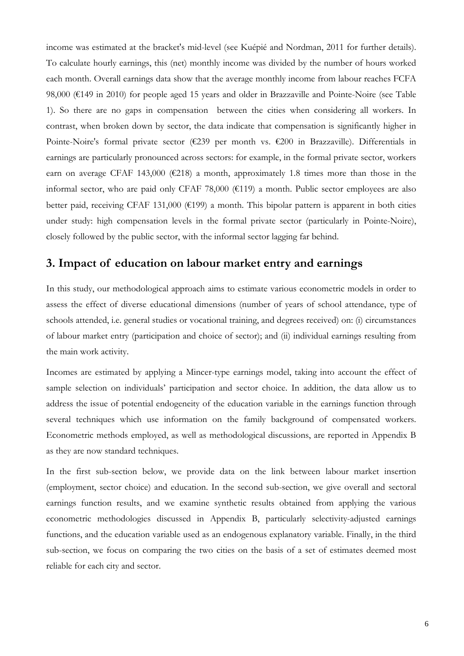income was estimated at the bracket's mid-level (see Kuépié and Nordman, 2011 for further details). To calculate hourly earnings, this (net) monthly income was divided by the number of hours worked each month. Overall earnings data show that the average monthly income from labour reaches FCFA 98,000 (€149 in 2010) for people aged 15 years and older in Brazzaville and Pointe-Noire (see Table 1). So there are no gaps in compensation between the cities when considering all workers. In contrast, when broken down by sector, the data indicate that compensation is significantly higher in Pointe-Noire's formal private sector (€239 per month vs. €200 in Brazzaville). Differentials in earnings are particularly pronounced across sectors: for example, in the formal private sector, workers earn on average CFAF 143,000 ( $E$ 218) a month, approximately 1.8 times more than those in the informal sector, who are paid only CFAF 78,000 ( $\epsilon$ 119) a month. Public sector employees are also better paid, receiving CFAF 131,000 ( $\epsilon$ 199) a month. This bipolar pattern is apparent in both cities under study: high compensation levels in the formal private sector (particularly in Pointe-Noire), closely followed by the public sector, with the informal sector lagging far behind.

# **3. Impact of education on labour market entry and earnings**

In this study, our methodological approach aims to estimate various econometric models in order to assess the effect of diverse educational dimensions (number of years of school attendance, type of schools attended, i.e. general studies or vocational training, and degrees received) on: (i) circumstances of labour market entry (participation and choice of sector); and (ii) individual earnings resulting from the main work activity.

Incomes are estimated by applying a Mincer-type earnings model, taking into account the effect of sample selection on individuals' participation and sector choice. In addition, the data allow us to address the issue of potential endogeneity of the education variable in the earnings function through several techniques which use information on the family background of compensated workers. Econometric methods employed, as well as methodological discussions, are reported in Appendix B as they are now standard techniques.

In the first sub-section below, we provide data on the link between labour market insertion (employment, sector choice) and education. In the second sub-section, we give overall and sectoral earnings function results, and we examine synthetic results obtained from applying the various econometric methodologies discussed in Appendix B, particularly selectivity-adjusted earnings functions, and the education variable used as an endogenous explanatory variable. Finally, in the third sub-section, we focus on comparing the two cities on the basis of a set of estimates deemed most reliable for each city and sector.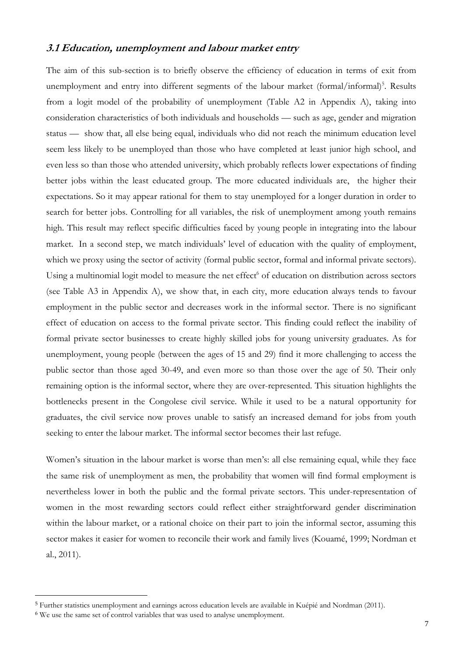### **3.1 Education, unemployment and labour market entry**

The aim of this sub-section is to briefly observe the efficiency of education in terms of exit from unemployment and entry into different segments of the labour market (formal/informal)<sup>5</sup>. Results from a logit model of the probability of unemployment (Table A2 in Appendix A), taking into consideration characteristics of both individuals and households — such as age, gender and migration status — show that, all else being equal, individuals who did not reach the minimum education level seem less likely to be unemployed than those who have completed at least junior high school, and even less so than those who attended university, which probably reflects lower expectations of finding better jobs within the least educated group. The more educated individuals are, the higher their expectations. So it may appear rational for them to stay unemployed for a longer duration in order to search for better jobs. Controlling for all variables, the risk of unemployment among youth remains high. This result may reflect specific difficulties faced by young people in integrating into the labour market. In a second step, we match individuals' level of education with the quality of employment, which we proxy using the sector of activity (formal public sector, formal and informal private sectors). Using a multinomial logit model to measure the net effect<sup>6</sup> of education on distribution across sectors (see Table A3 in Appendix A), we show that, in each city, more education always tends to favour employment in the public sector and decreases work in the informal sector. There is no significant effect of education on access to the formal private sector. This finding could reflect the inability of formal private sector businesses to create highly skilled jobs for young university graduates. As for unemployment, young people (between the ages of 15 and 29) find it more challenging to access the public sector than those aged 30-49, and even more so than those over the age of 50. Their only remaining option is the informal sector, where they are over-represented. This situation highlights the bottlenecks present in the Congolese civil service. While it used to be a natural opportunity for graduates, the civil service now proves unable to satisfy an increased demand for jobs from youth seeking to enter the labour market. The informal sector becomes their last refuge.

Women's situation in the labour market is worse than men's: all else remaining equal, while they face the same risk of unemployment as men, the probability that women will find formal employment is nevertheless lower in both the public and the formal private sectors. This under-representation of women in the most rewarding sectors could reflect either straightforward gender discrimination within the labour market, or a rational choice on their part to join the informal sector, assuming this sector makes it easier for women to reconcile their work and family lives (Kouamé, 1999; Nordman et al., 2011).

<sup>5</sup> Further statistics unemployment and earnings across education levels are available in Kuépié and Nordman (2011).

<sup>6</sup> We use the same set of control variables that was used to analyse unemployment.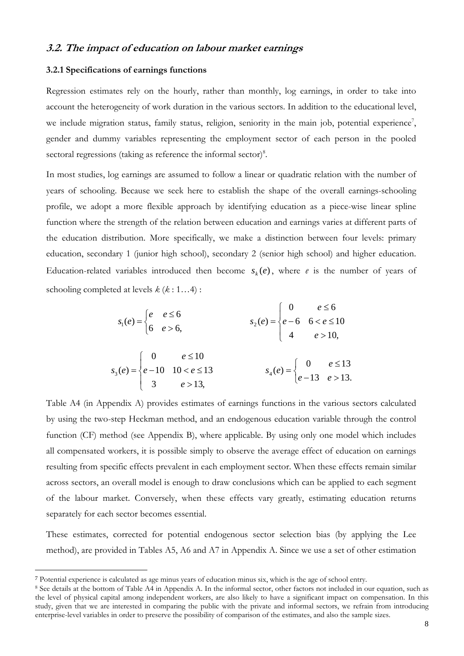### **3.2. The impact of education on labour market earnings**

#### **3.2.1 Specifications of earnings functions**

Regression estimates rely on the hourly, rather than monthly, log earnings, in order to take into account the heterogeneity of work duration in the various sectors. In addition to the educational level, we include migration status, family status, religion, seniority in the main job, potential experience<sup>7</sup>, gender and dummy variables representing the employment sector of each person in the pooled sectoral regressions (taking as reference the informal sector) $8$ .

In most studies, log earnings are assumed to follow a linear or quadratic relation with the number of years of schooling. Because we seek here to establish the shape of the overall earnings-schooling profile, we adopt a more flexible approach by identifying education as a piece-wise linear spline function where the strength of the relation between education and earnings varies at different parts of the education distribution. More specifically, we make a distinction between four levels: primary education, secondary 1 (junior high school), secondary 2 (senior high school) and higher education. Education-related variables introduced then become  $s_k(e)$ , where *e* is the number of years of schooling completed at levels *k* (*k* : 1…4) :

$$
s_1(e) = \begin{cases} e & e \le 6 \\ 6 & e > 6 \end{cases}
$$
  
\n
$$
s_2(e) = \begin{cases} 0 & e \le 10 \\ e - 6 & 6 < e \le 10 \\ 4 & e > 10 \end{cases}
$$
  
\n
$$
s_3(e) = \begin{cases} 0 & e \le 10 \\ e - 10 & 10 < e \le 13 \\ 3 & e > 13 \end{cases}
$$
  
\n
$$
s_4(e) = \begin{cases} 0 & e \le 13 \\ e - 13 & e > 13 \end{cases}
$$

Table A4 (in Appendix A) provides estimates of earnings functions in the various sectors calculated by using the two-step Heckman method, and an endogenous education variable through the control function (CF) method (see Appendix B), where applicable. By using only one model which includes all compensated workers, it is possible simply to observe the average effect of education on earnings resulting from specific effects prevalent in each employment sector. When these effects remain similar across sectors, an overall model is enough to draw conclusions which can be applied to each segment of the labour market. Conversely, when these effects vary greatly, estimating education returns separately for each sector becomes essential.

These estimates, corrected for potential endogenous sector selection bias (by applying the Lee method), are provided in Tables A5, A6 and A7 in Appendix A. Since we use a set of other estimation

<sup>7</sup> Potential experience is calculated as age minus years of education minus six, which is the age of school entry.

<sup>8</sup> See details at the bottom of Table A4 in Appendix A. In the informal sector, other factors not included in our equation, such as the level of physical capital among independent workers, are also likely to have a significant impact on compensation. In this study, given that we are interested in comparing the public with the private and informal sectors, we refrain from introducing enterprise-level variables in order to preserve the possibility of comparison of the estimates, and also the sample sizes.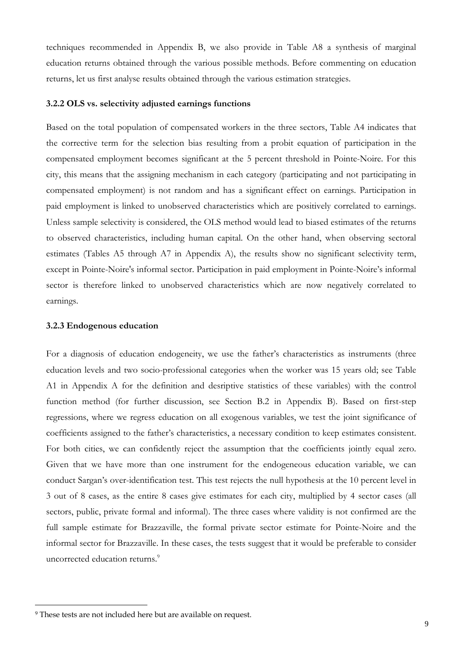techniques recommended in Appendix B, we also provide in Table A8 a synthesis of marginal education returns obtained through the various possible methods. Before commenting on education returns, let us first analyse results obtained through the various estimation strategies.

#### **3.2.2 OLS vs. selectivity adjusted earnings functions**

Based on the total population of compensated workers in the three sectors, Table A4 indicates that the corrective term for the selection bias resulting from a probit equation of participation in the compensated employment becomes significant at the 5 percent threshold in Pointe-Noire. For this city, this means that the assigning mechanism in each category (participating and not participating in compensated employment) is not random and has a significant effect on earnings. Participation in paid employment is linked to unobserved characteristics which are positively correlated to earnings. Unless sample selectivity is considered, the OLS method would lead to biased estimates of the returns to observed characteristics, including human capital. On the other hand, when observing sectoral estimates (Tables A5 through A7 in Appendix A), the results show no significant selectivity term, except in Pointe-Noire's informal sector. Participation in paid employment in Pointe-Noire's informal sector is therefore linked to unobserved characteristics which are now negatively correlated to earnings.

#### **3.2.3 Endogenous education**

For a diagnosis of education endogeneity, we use the father's characteristics as instruments (three education levels and two socio-professional categories when the worker was 15 years old; see Table A1 in Appendix A for the definition and desriptive statistics of these variables) with the control function method (for further discussion, see Section B.2 in Appendix B). Based on first-step regressions, where we regress education on all exogenous variables, we test the joint significance of coefficients assigned to the father's characteristics, a necessary condition to keep estimates consistent. For both cities, we can confidently reject the assumption that the coefficients jointly equal zero. Given that we have more than one instrument for the endogeneous education variable, we can conduct Sargan's over-identification test. This test rejects the null hypothesis at the 10 percent level in 3 out of 8 cases, as the entire 8 cases give estimates for each city, multiplied by 4 sector cases (all sectors, public, private formal and informal). The three cases where validity is not confirmed are the full sample estimate for Brazzaville, the formal private sector estimate for Pointe-Noire and the informal sector for Brazzaville. In these cases, the tests suggest that it would be preferable to consider uncorrected education returns.<sup>9</sup>

<sup>9</sup> These tests are not included here but are available on request.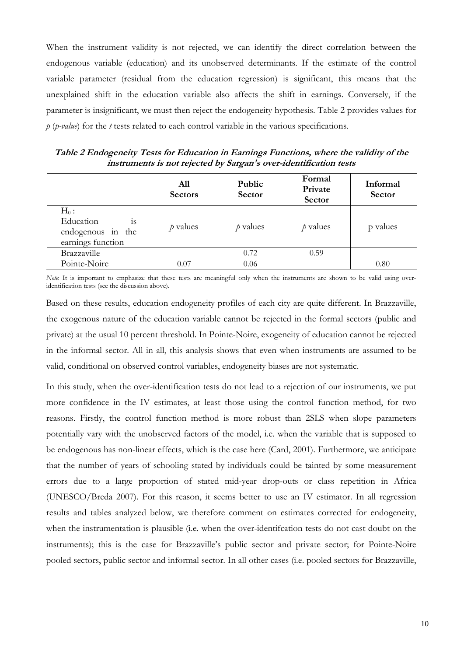When the instrument validity is not rejected, we can identify the direct correlation between the endogenous variable (education) and its unobserved determinants. If the estimate of the control variable parameter (residual from the education regression) is significant, this means that the unexplained shift in the education variable also affects the shift in earnings. Conversely, if the parameter is insignificant, we must then reject the endogeneity hypothesis. Table 2 provides values for *p* (*p-value*) for the *t* tests related to each control variable in the various specifications.

**Table 2 Endogeneity Tests for Education in Earnings Functions, where the validity of the instruments is not rejected by Sargan's over-identification tests** 

|                                                                             | A11<br><b>Sectors</b> | Public<br>Sector | Formal<br>Private<br>Sector | Informal<br>Sector |
|-----------------------------------------------------------------------------|-----------------------|------------------|-----------------------------|--------------------|
| $H_0$ :<br>Education<br><b>1S</b><br>endogenous in the<br>earnings function | $\rho$ values         | $p$ values       | $p$ values                  | p values           |
| Brazzaville                                                                 |                       | 0.72             | 0.59                        |                    |
| Pointe-Noire                                                                | 0.07                  | 0.06             |                             | 0.80               |

*Note*: It is important to emphasize that these tests are meaningful only when the instruments are shown to be valid using overidentification tests (see the discussion above).

Based on these results, education endogeneity profiles of each city are quite different. In Brazzaville, the exogenous nature of the education variable cannot be rejected in the formal sectors (public and private) at the usual 10 percent threshold. In Pointe-Noire, exogeneity of education cannot be rejected in the informal sector. All in all, this analysis shows that even when instruments are assumed to be valid, conditional on observed control variables, endogeneity biases are not systematic.

In this study, when the over-identification tests do not lead to a rejection of our instruments, we put more confidence in the IV estimates, at least those using the control function method, for two reasons. Firstly, the control function method is more robust than 2SLS when slope parameters potentially vary with the unobserved factors of the model, i.e. when the variable that is supposed to be endogenous has non-linear effects, which is the case here (Card, 2001). Furthermore, we anticipate that the number of years of schooling stated by individuals could be tainted by some measurement errors due to a large proportion of stated mid-year drop-outs or class repetition in Africa (UNESCO/Breda 2007). For this reason, it seems better to use an IV estimator. In all regression results and tables analyzed below, we therefore comment on estimates corrected for endogeneity, when the instrumentation is plausible (i.e. when the over-identifcation tests do not cast doubt on the instruments); this is the case for Brazzaville's public sector and private sector; for Pointe-Noire pooled sectors, public sector and informal sector. In all other cases (i.e. pooled sectors for Brazzaville,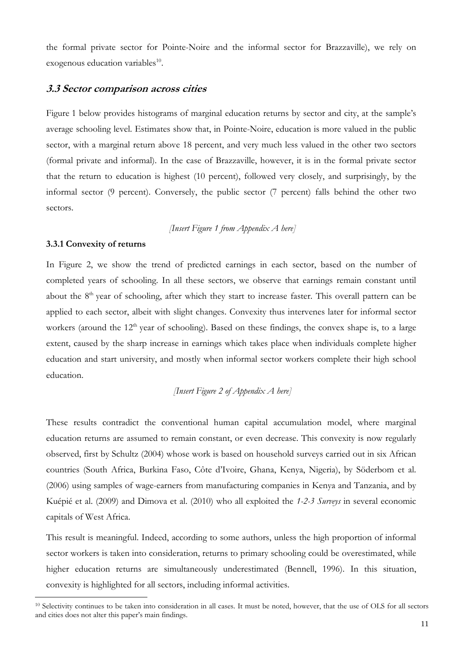the formal private sector for Pointe-Noire and the informal sector for Brazzaville), we rely on exogenous education variables $10$ .

#### **3.3 Sector comparison across cities**

Figure 1 below provides histograms of marginal education returns by sector and city, at the sample's average schooling level. Estimates show that, in Pointe-Noire, education is more valued in the public sector, with a marginal return above 18 percent, and very much less valued in the other two sectors (formal private and informal). In the case of Brazzaville, however, it is in the formal private sector that the return to education is highest (10 percent), followed very closely, and surprisingly, by the informal sector (9 percent). Conversely, the public sector (7 percent) falls behind the other two sectors.

 *[Insert Figure 1 from Appendix A here]* 

#### **3.3.1 Convexity of returns**

 $\overline{a}$ 

In Figure 2, we show the trend of predicted earnings in each sector, based on the number of completed years of schooling. In all these sectors, we observe that earnings remain constant until about the 8<sup>th</sup> year of schooling, after which they start to increase faster. This overall pattern can be applied to each sector, albeit with slight changes. Convexity thus intervenes later for informal sector workers (around the  $12<sup>th</sup>$  year of schooling). Based on these findings, the convex shape is, to a large extent, caused by the sharp increase in earnings which takes place when individuals complete higher education and start university, and mostly when informal sector workers complete their high school education.

# *[Insert Figure 2 of Appendix A here]*

These results contradict the conventional human capital accumulation model, where marginal education returns are assumed to remain constant, or even decrease. This convexity is now regularly observed, first by Schultz (2004) whose work is based on household surveys carried out in six African countries (South Africa, Burkina Faso, Côte d'Ivoire, Ghana, Kenya, Nigeria), by Söderbom et al. (2006) using samples of wage-earners from manufacturing companies in Kenya and Tanzania, and by Kuépié et al. (2009) and Dimova et al. (2010) who all exploited the *1-2-3 Surveys* in several economic capitals of West Africa.

This result is meaningful. Indeed, according to some authors, unless the high proportion of informal sector workers is taken into consideration, returns to primary schooling could be overestimated, while higher education returns are simultaneously underestimated (Bennell, 1996). In this situation, convexity is highlighted for all sectors, including informal activities.

<sup>&</sup>lt;sup>10</sup> Selectivity continues to be taken into consideration in all cases. It must be noted, however, that the use of OLS for all sectors and cities does not alter this paper's main findings.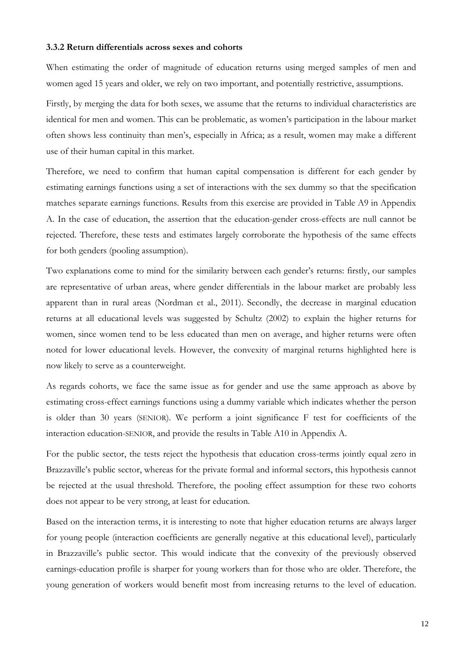#### **3.3.2 Return differentials across sexes and cohorts**

When estimating the order of magnitude of education returns using merged samples of men and women aged 15 years and older, we rely on two important, and potentially restrictive, assumptions.

Firstly, by merging the data for both sexes, we assume that the returns to individual characteristics are identical for men and women. This can be problematic, as women's participation in the labour market often shows less continuity than men's, especially in Africa; as a result, women may make a different use of their human capital in this market.

Therefore, we need to confirm that human capital compensation is different for each gender by estimating earnings functions using a set of interactions with the sex dummy so that the specification matches separate earnings functions. Results from this exercise are provided in Table A9 in Appendix A. In the case of education, the assertion that the education-gender cross-effects are null cannot be rejected. Therefore, these tests and estimates largely corroborate the hypothesis of the same effects for both genders (pooling assumption).

Two explanations come to mind for the similarity between each gender's returns: firstly, our samples are representative of urban areas, where gender differentials in the labour market are probably less apparent than in rural areas (Nordman et al., 2011). Secondly, the decrease in marginal education returns at all educational levels was suggested by Schultz (2002) to explain the higher returns for women, since women tend to be less educated than men on average, and higher returns were often noted for lower educational levels. However, the convexity of marginal returns highlighted here is now likely to serve as a counterweight.

As regards cohorts, we face the same issue as for gender and use the same approach as above by estimating cross-effect earnings functions using a dummy variable which indicates whether the person is older than 30 years (SENIOR). We perform a joint significance F test for coefficients of the interaction education-SENIOR, and provide the results in Table A10 in Appendix A.

For the public sector, the tests reject the hypothesis that education cross-terms jointly equal zero in Brazzaville's public sector, whereas for the private formal and informal sectors, this hypothesis cannot be rejected at the usual threshold. Therefore, the pooling effect assumption for these two cohorts does not appear to be very strong, at least for education.

Based on the interaction terms, it is interesting to note that higher education returns are always larger for young people (interaction coefficients are generally negative at this educational level), particularly in Brazzaville's public sector. This would indicate that the convexity of the previously observed earnings-education profile is sharper for young workers than for those who are older. Therefore, the young generation of workers would benefit most from increasing returns to the level of education.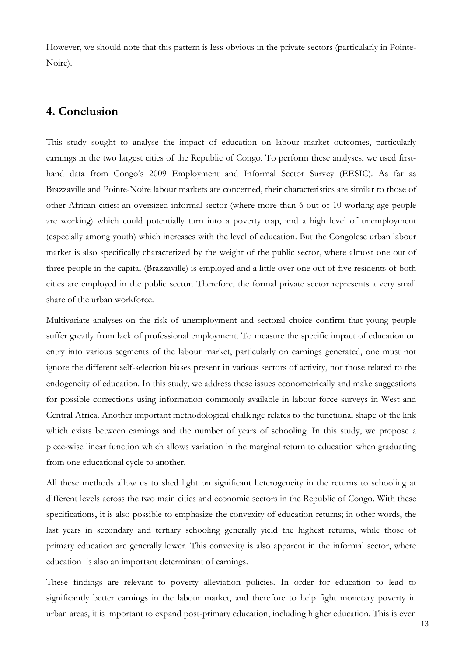However, we should note that this pattern is less obvious in the private sectors (particularly in Pointe-Noire).

# **4. Conclusion**

This study sought to analyse the impact of education on labour market outcomes, particularly earnings in the two largest cities of the Republic of Congo. To perform these analyses, we used firsthand data from Congo's 2009 Employment and Informal Sector Survey (EESIC). As far as Brazzaville and Pointe-Noire labour markets are concerned, their characteristics are similar to those of other African cities: an oversized informal sector (where more than 6 out of 10 working-age people are working) which could potentially turn into a poverty trap, and a high level of unemployment (especially among youth) which increases with the level of education. But the Congolese urban labour market is also specifically characterized by the weight of the public sector, where almost one out of three people in the capital (Brazzaville) is employed and a little over one out of five residents of both cities are employed in the public sector. Therefore, the formal private sector represents a very small share of the urban workforce.

Multivariate analyses on the risk of unemployment and sectoral choice confirm that young people suffer greatly from lack of professional employment. To measure the specific impact of education on entry into various segments of the labour market, particularly on earnings generated, one must not ignore the different self-selection biases present in various sectors of activity, nor those related to the endogeneity of education. In this study, we address these issues econometrically and make suggestions for possible corrections using information commonly available in labour force surveys in West and Central Africa. Another important methodological challenge relates to the functional shape of the link which exists between earnings and the number of years of schooling. In this study, we propose a piece-wise linear function which allows variation in the marginal return to education when graduating from one educational cycle to another.

All these methods allow us to shed light on significant heterogeneity in the returns to schooling at different levels across the two main cities and economic sectors in the Republic of Congo. With these specifications, it is also possible to emphasize the convexity of education returns; in other words, the last years in secondary and tertiary schooling generally yield the highest returns, while those of primary education are generally lower. This convexity is also apparent in the informal sector, where education is also an important determinant of earnings.

These findings are relevant to poverty alleviation policies. In order for education to lead to significantly better earnings in the labour market, and therefore to help fight monetary poverty in urban areas, it is important to expand post-primary education, including higher education. This is even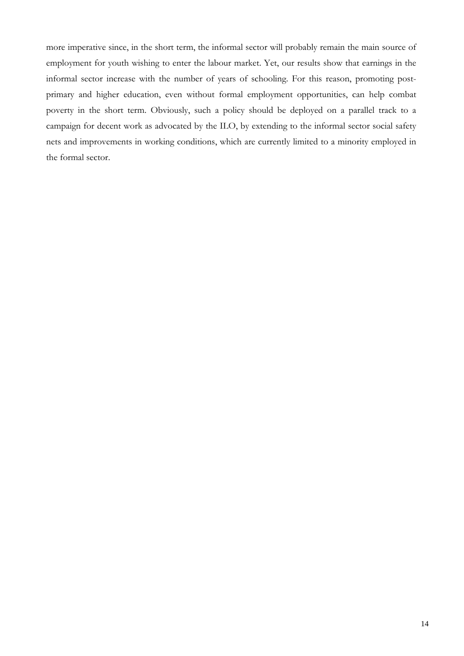more imperative since, in the short term, the informal sector will probably remain the main source of employment for youth wishing to enter the labour market. Yet, our results show that earnings in the informal sector increase with the number of years of schooling. For this reason, promoting postprimary and higher education, even without formal employment opportunities, can help combat poverty in the short term. Obviously, such a policy should be deployed on a parallel track to a campaign for decent work as advocated by the ILO, by extending to the informal sector social safety nets and improvements in working conditions, which are currently limited to a minority employed in the formal sector.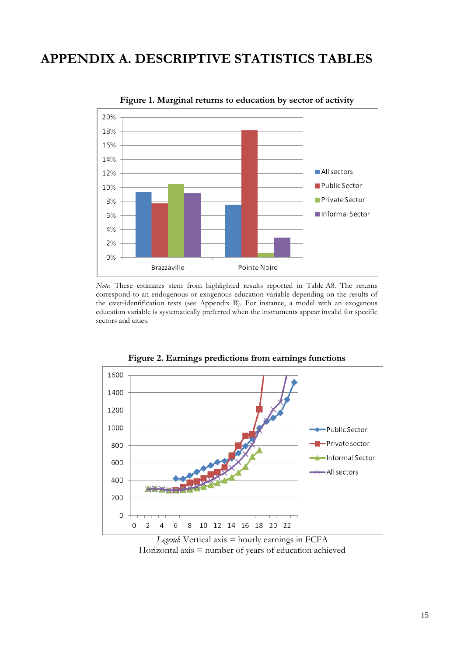# **APPENDIX A. DESCRIPTIVE STATISTICS TABLES**



**Figure 1. Marginal returns to education by sector of activity** 

*Note*: These estimates stem from highlighted results reported in Table A8. The returns correspond to an endogenous or exogenous education variable depending on the results of the over-identification tests (see Appendix B). For instance, a model with an exogenous education variable is systematically preferred when the instruments appear invalid for specific sectors and cities.



**Figure 2. Earnings predictions from earnings functions** 

*Legend*: Vertical axis = hourly earnings in FCFA Horizontal axis  $=$  number of years of education achieved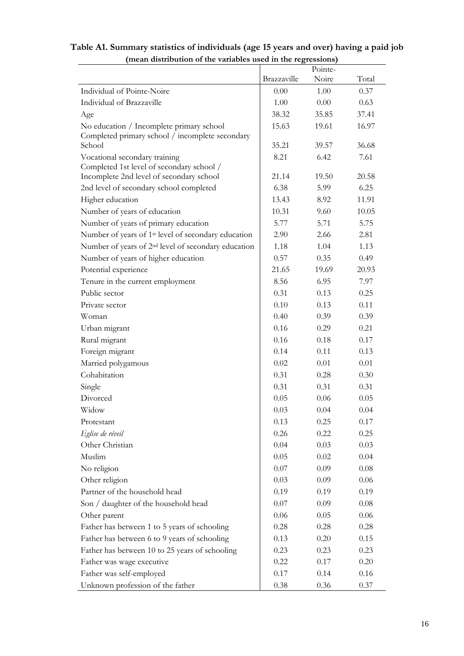# **Table A1. Summary statistics of individuals (age 15 years and over) having a paid job (mean distribution of the variables used in the regressions)**

|                                                                                       |             | Pointe- |       |
|---------------------------------------------------------------------------------------|-------------|---------|-------|
|                                                                                       | Brazzaville | Noire   | Total |
| Individual of Pointe-Noire                                                            | 0.00        | 1.00    | 0.37  |
| Individual of Brazzaville                                                             | 1.00        | 0.00    | 0.63  |
| Age                                                                                   | 38.32       | 35.85   | 37.41 |
| No education / Incomplete primary school                                              | 15.63       | 19.61   | 16.97 |
| Completed primary school / incomplete secondary                                       |             |         |       |
| School                                                                                | 35.21       | 39.57   | 36.68 |
| Vocational secondary training                                                         | 8.21        | 6.42    | 7.61  |
| Completed 1st level of secondary school /<br>Incomplete 2nd level of secondary school | 21.14       | 19.50   | 20.58 |
| 2nd level of secondary school completed                                               | 6.38        | 5.99    | 6.25  |
| Higher education                                                                      | 13.43       | 8.92    | 11.91 |
| Number of years of education                                                          | 10.31       | 9.60    | 10.05 |
| Number of years of primary education                                                  | 5.77        | 5.71    | 5.75  |
| Number of years of 1 <sup>st</sup> level of secondary education                       | 2.90        | 2.66    | 2.81  |
| Number of years of 2 <sup>nd</sup> level of secondary education                       | 1.18        | 1.04    | 1.13  |
| Number of years of higher education                                                   | 0.57        | 0.35    | 0.49  |
| Potential experience                                                                  | 21.65       | 19.69   | 20.93 |
| Tenure in the current employment                                                      | 8.56        | 6.95    | 7.97  |
| Public sector                                                                         | 0.31        | 0.13    | 0.25  |
| Private sector                                                                        | 0.10        | 0.13    | 0.11  |
| Woman                                                                                 | 0.40        | 0.39    | 0.39  |
| Urban migrant                                                                         | 0.16        | 0.29    | 0.21  |
| Rural migrant                                                                         | 0.16        | 0.18    | 0.17  |
| Foreign migrant                                                                       | 0.14        | 0.11    | 0.13  |
| Married polygamous                                                                    | 0.02        | 0.01    | 0.01  |
| Cohabitation                                                                          | 0.31        | 0.28    | 0.30  |
| Single                                                                                | 0.31        | 0.31    | 0.31  |
| Divorced                                                                              | 0.05        | 0.06    | 0.05  |
| Widow                                                                                 | 0.03        | 0.04    | 0.04  |
| Protestant                                                                            | 0.13        | 0.25    | 0.17  |
| Eglise de réveil                                                                      | 0.26        | 0.22    | 0.25  |
| Other Christian                                                                       | 0.04        | 0.03    | 0.03  |
| Muslim                                                                                | 0.05        | 0.02    | 0.04  |
| No religion                                                                           | 0.07        | 0.09    | 0.08  |
| Other religion                                                                        | 0.03        | 0.09    | 0.06  |
| Partner of the household head                                                         | 0.19        | 0.19    | 0.19  |
| Son / daughter of the household head                                                  | 0.07        | 0.09    | 0.08  |
| Other parent                                                                          | 0.06        | 0.05    | 0.06  |
| Father has between 1 to 5 years of schooling                                          | 0.28        | 0.28    | 0.28  |
| Father has between 6 to 9 years of schooling                                          | 0.13        | 0.20    | 0.15  |
| Father has between 10 to 25 years of schooling                                        | 0.23        | 0.23    | 0.23  |
| Father was wage executive                                                             | 0.22        | 0.17    | 0.20  |
| Father was self-employed                                                              | 0.17        | 0.14    | 0.16  |
| Unknown profession of the father                                                      | 0.38        | 0.36    | 0.37  |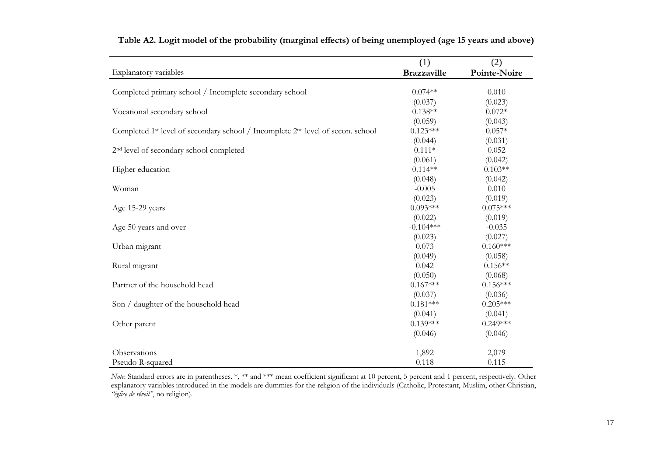|                                                                                                         | (1)                   | (2)                 |
|---------------------------------------------------------------------------------------------------------|-----------------------|---------------------|
| Explanatory variables                                                                                   | <b>Brazzaville</b>    | Pointe-Noire        |
|                                                                                                         | $0.074**$             | 0.010               |
| Completed primary school / Incomplete secondary school                                                  |                       |                     |
|                                                                                                         | (0.037)<br>$0.138**$  | (0.023)<br>$0.072*$ |
| Vocational secondary school                                                                             |                       |                     |
|                                                                                                         | (0.059)<br>$0.123***$ | (0.043)<br>$0.057*$ |
| Completed 1 <sup>st</sup> level of secondary school / Incomplete 2 <sup>nd</sup> level of secon. school |                       |                     |
|                                                                                                         | (0.044)<br>$0.111*$   | (0.031)             |
| 2 <sup>nd</sup> level of secondary school completed                                                     |                       | 0.052               |
|                                                                                                         | (0.061)               | (0.042)             |
| Higher education                                                                                        | $0.114**$             | $0.103**$           |
|                                                                                                         | (0.048)               | (0.042)             |
| Woman                                                                                                   | $-0.005$              | 0.010               |
|                                                                                                         | (0.023)               | (0.019)             |
| Age 15-29 years                                                                                         | $0.093***$            | $0.075***$          |
|                                                                                                         | (0.022)               | (0.019)             |
| Age 50 years and over                                                                                   | $-0.104***$           | $-0.035$            |
|                                                                                                         | (0.023)               | (0.027)             |
| Urban migrant                                                                                           | 0.073                 | $0.160***$          |
|                                                                                                         | (0.049)               | (0.058)             |
| Rural migrant                                                                                           | 0.042                 | $0.156**$           |
|                                                                                                         | (0.050)               | (0.068)             |
| Partner of the household head                                                                           | $0.167***$            | $0.156***$          |
|                                                                                                         | (0.037)               | (0.036)             |
| Son / daughter of the household head                                                                    | $0.181***$            | $0.205***$          |
|                                                                                                         | (0.041)               | (0.041)             |
| Other parent                                                                                            | $0.139***$            | $0.249***$          |
|                                                                                                         | (0.046)               | (0.046)             |
| Observations                                                                                            | 1,892                 | 2,079               |
| Pseudo R-squared                                                                                        | 0.118                 | 0.115               |

**Table A2. Logit model of the probability (marginal effects) of being unemployed (age 15 years and above)** 

*Note*: Standard errors are in parentheses. \*, \*\* and \*\*\* mean coefficient significant at 10 percent, 5 percent and 1 percent, respectively. Other explanatory variables introduced in the models are dummies for the religion of the individuals (Catholic, Protestant, Muslim, other Christian, *"église de réveil"*, no religion).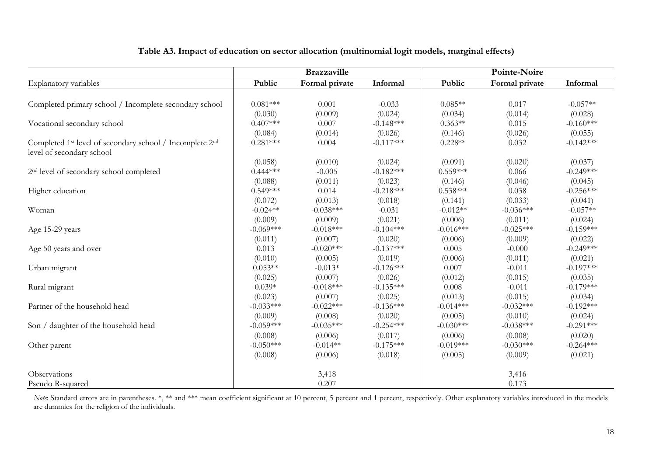|                                                                                                               |             | <b>Brazzaville</b> |             | Pointe-Noire |                |             |  |
|---------------------------------------------------------------------------------------------------------------|-------------|--------------------|-------------|--------------|----------------|-------------|--|
| Explanatory variables                                                                                         | Public      | Formal private     | Informal    | Public       | Formal private | Informal    |  |
|                                                                                                               |             |                    |             |              |                |             |  |
| Completed primary school / Incomplete secondary school                                                        | $0.081***$  | 0.001              | $-0.033$    | $0.085**$    | 0.017          | $-0.057**$  |  |
|                                                                                                               | (0.030)     | (0.009)            | (0.024)     | (0.034)      | (0.014)        | (0.028)     |  |
| Vocational secondary school                                                                                   | $0.407***$  | 0.007              | $-0.148***$ | $0.363**$    | 0.015          | $-0.160***$ |  |
|                                                                                                               | (0.084)     | (0.014)            | (0.026)     | (0.146)      | (0.026)        | (0.055)     |  |
| Completed 1 <sup>st</sup> level of secondary school / Incomplete 2 <sup>nd</sup><br>level of secondary school | $0.281***$  | 0.004              | $-0.117***$ | $0.228**$    | 0.032          | $-0.142***$ |  |
|                                                                                                               | (0.058)     | (0.010)            | (0.024)     | (0.091)      | (0.020)        | (0.037)     |  |
| 2 <sup>nd</sup> level of secondary school completed                                                           | $0.444***$  | $-0.005$           | $-0.182***$ | $0.559***$   | 0.066          | $-0.249***$ |  |
|                                                                                                               | (0.088)     | (0.011)            | (0.023)     | (0.146)      | (0.046)        | (0.045)     |  |
| Higher education                                                                                              | $0.549***$  | 0.014              | $-0.218***$ | $0.538***$   | 0.038          | $-0.256***$ |  |
|                                                                                                               | (0.072)     | (0.013)            | (0.018)     | (0.141)      | (0.033)        | (0.041)     |  |
| Woman                                                                                                         | $-0.024**$  | $-0.038***$        | $-0.031$    | $-0.012**$   | $-0.036***$    | $-0.057**$  |  |
|                                                                                                               | (0.009)     | (0.009)            | (0.021)     | (0.006)      | (0.011)        | (0.024)     |  |
| Age 15-29 years                                                                                               | $-0.069***$ | $-0.018***$        | $-0.104***$ | $-0.016***$  | $-0.025***$    | $-0.159***$ |  |
|                                                                                                               | (0.011)     | (0.007)            | (0.020)     | (0.006)      | (0.009)        | (0.022)     |  |
| Age 50 years and over                                                                                         | 0.013       | $-0.020***$        | $-0.137***$ | 0.005        | $-0.000$       | $-0.249***$ |  |
|                                                                                                               | (0.010)     | (0.005)            | (0.019)     | (0.006)      | (0.011)        | (0.021)     |  |
| Urban migrant                                                                                                 | $0.053**$   | $-0.013*$          | $-0.126***$ | 0.007        | $-0.011$       | $-0.197***$ |  |
|                                                                                                               | (0.025)     | (0.007)            | (0.026)     | (0.012)      | (0.015)        | (0.035)     |  |
| Rural migrant                                                                                                 | $0.039*$    | $-0.018***$        | $-0.135***$ | 0.008        | $-0.011$       | $-0.179***$ |  |
|                                                                                                               | (0.023)     | (0.007)            | (0.025)     | (0.013)      | (0.015)        | (0.034)     |  |
| Partner of the household head                                                                                 | $-0.033***$ | $-0.022***$        | $-0.136***$ | $-0.014***$  | $-0.032***$    | $-0.192***$ |  |
|                                                                                                               | (0.009)     | (0.008)            | (0.020)     | (0.005)      | (0.010)        | (0.024)     |  |
| Son / daughter of the household head                                                                          | $-0.059***$ | $-0.035***$        | $-0.254***$ | $-0.030***$  | $-0.038***$    | $-0.291***$ |  |
|                                                                                                               | (0.008)     | (0.006)            | (0.017)     | (0.006)      | (0.008)        | (0.020)     |  |
| Other parent                                                                                                  | $-0.050***$ | $-0.014**$         | $-0.175***$ | $-0.019***$  | $-0.030***$    | $-0.264***$ |  |
|                                                                                                               | (0.008)     | (0.006)            | (0.018)     | (0.005)      | (0.009)        | (0.021)     |  |
| Observations                                                                                                  |             | 3,418              |             |              | 3,416          |             |  |
| Pseudo R-squared                                                                                              |             | 0.207              |             |              | 0.173          |             |  |

### **Table A3. Impact of education on sector allocation (multinomial logit models, marginal effects)**

*Note*: Standard errors are in parentheses. \*, \*\* and \*\*\* mean coefficient significant at 10 percent, 5 percent and 1 percent, respectively. Other explanatory variables introduced in the models are dummies for the religion of the individuals.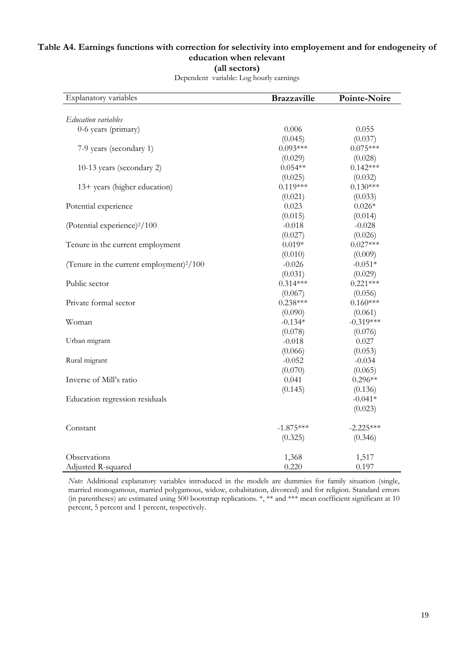# **Table A4. Earnings functions with correction for selectivity into employement and for endogeneity of education when relevant (all sectors)**

| Explanatory variables                      | <b>Brazzaville</b> | Pointe-Noire |
|--------------------------------------------|--------------------|--------------|
|                                            |                    |              |
| Education variables                        |                    |              |
| 0-6 years (primary)                        | 0.006              | 0.055        |
|                                            | (0.045)            | (0.037)      |
| 7-9 years (secondary 1)                    | $0.093***$         | $0.075***$   |
|                                            | (0.029)            | (0.028)      |
| 10-13 years (secondary 2)                  | $0.054**$          | $0.142***$   |
|                                            | (0.025)            | (0.032)      |
| 13+ years (higher education)               | $0.119***$         | $0.130***$   |
|                                            | (0.021)            | (0.033)      |
| Potential experience                       | 0.023              | $0.026*$     |
|                                            | (0.015)            | (0.014)      |
| (Potential experience) <sup>2</sup> /100   | $-0.018$           | $-0.028$     |
|                                            | (0.027)            | (0.026)      |
| Tenure in the current employment           | $0.019*$           | $0.027***$   |
|                                            | (0.010)            | (0.009)      |
| (Tenure in the current employment) $2/100$ | $-0.026$           | $-0.051*$    |
|                                            | (0.031)            | (0.029)      |
| Public sector                              | $0.314***$         | $0.221***$   |
|                                            | (0.067)            | (0.056)      |
| Private formal sector                      | $0.238***$         | $0.160***$   |
|                                            | (0.090)            | (0.061)      |
| Woman                                      | $-0.134*$          | $-0.319***$  |
|                                            | (0.078)            | (0.076)      |
| Urban migrant                              | $-0.018$           | 0.027        |
|                                            | (0.066)            | (0.053)      |
| Rural migrant                              | $-0.052$           | $-0.034$     |
|                                            | (0.070)            | (0.065)      |
| Inverse of Mill's ratio                    | 0.041              | $0.296**$    |
|                                            | (0.145)            | (0.136)      |
| Education regression residuals             |                    | $-0.041*$    |
|                                            |                    | (0.023)      |
| Constant                                   | $-1.875***$        | $-2.225***$  |
|                                            | (0.325)            | (0.346)      |
| Observations                               | 1,368              | 1,517        |
| Adjusted R-squared                         | 0.220              | 0.197        |

Dependent variable: Log hourly earnings

*Note*: Additional explanatory variables introduced in the models are dummies for family situation (single, married monogamous, married polygamous, widow, cohabitation, divorced) and for religion. Standard errors (in parentheses) are estimated using 500 bootstrap replications. \*, \*\* and \*\*\* mean coefficient significant at 10 percent, 5 percent and 1 percent, respectively.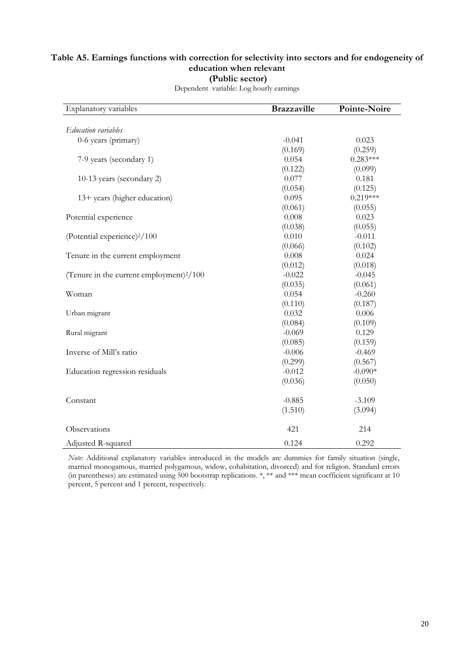### **Table A5. Earnings functions with correction for selectivity into sectors and for endogeneity of education when relevant (Public sector)**

| Explanatory variables                      | <b>Brazzaville</b> | Pointe-Noire |
|--------------------------------------------|--------------------|--------------|
|                                            |                    |              |
| Education variables                        |                    |              |
| 0-6 years (primary)                        | $-0.041$           | 0.023        |
|                                            | (0.169)            | (0.259)      |
| 7-9 years (secondary 1)                    | 0.054              | $0.283***$   |
|                                            | (0.122)            | (0.099)      |
| 10-13 years (secondary 2)                  | 0.077              | 0.181        |
|                                            | (0.054)            | (0.125)      |
| 13+ years (higher education)               | 0.095              | $0.219***$   |
|                                            | (0.061)            | (0.055)      |
| Potential experience                       | 0.008              | 0.023        |
|                                            | (0.038)            | (0.055)      |
| (Potential experience) <sup>2</sup> /100   | 0.010              | $-0.011$     |
|                                            | (0.066)            | (0.102)      |
| Tenure in the current employment           | 0.008              | 0.024        |
|                                            | (0.012)            | (0.018)      |
| (Tenure in the current employment) $2/100$ | $-0.022$           | $-0.045$     |
|                                            | (0.035)            | (0.061)      |
| Woman                                      | 0.054              | $-0.260$     |
|                                            | (0.110)            | (0.187)      |
| Urban migrant                              | 0.032              | 0.006        |
|                                            | (0.084)            | (0.109)      |
| Rural migrant                              | $-0.069$           | 0.129        |
|                                            | (0.085)            | (0.159)      |
| Inverse of Mill's ratio                    | $-0.006$           | $-0.469$     |
|                                            | (0.299)            | (0.567)      |
| Education regression residuals             | $-0.012$           | $-0.090*$    |
|                                            | (0.036)            | (0.050)      |
| Constant                                   | $-0.885$           | $-3.109$     |
|                                            | (1.510)            | (3.094)      |
| Observations                               | 421                | 214          |
| Adjusted R-squared                         | 0.124              | 0.292        |

Dependent variable: Log hourly earnings

*Note*: Additional explanatory variables introduced in the models are dummies for family situation (single, married monogamous, married polygamous, widow, cohabitation, divorced) and for religion. Standard errors (in parentheses) are estimated using 500 bootstrap replications. \*, \*\* and \*\*\* mean coefficient significant at 10 percent, 5 percent and 1 percent, respectively.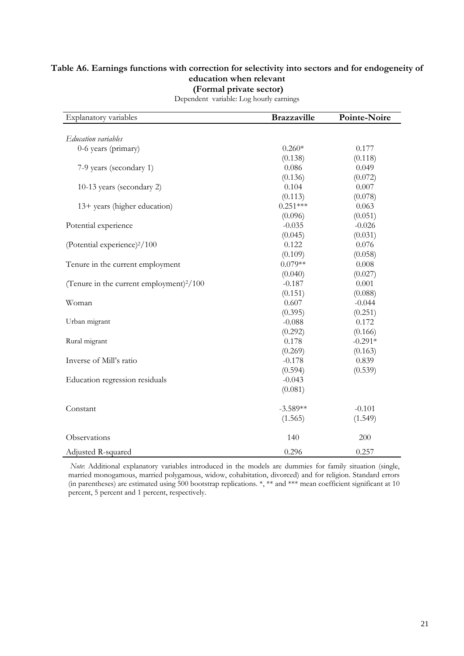#### **Table A6. Earnings functions with correction for selectivity into sectors and for endogeneity of education when relevant (Formal private sector)**

| Explanatory variables                                | <b>Brazzaville</b> | Pointe-Noire |
|------------------------------------------------------|--------------------|--------------|
|                                                      |                    |              |
| Education variables                                  |                    |              |
| 0-6 years (primary)                                  | $0.260*$           | 0.177        |
|                                                      | (0.138)            | (0.118)      |
| 7-9 years (secondary 1)                              | 0.086              | 0.049        |
|                                                      | (0.136)            | (0.072)      |
| 10-13 years (secondary 2)                            | 0.104              | 0.007        |
|                                                      | (0.113)            | (0.078)      |
| 13+ years (higher education)                         | $0.251***$         | 0.063        |
|                                                      | (0.096)            | (0.051)      |
| Potential experience                                 | $-0.035$           | $-0.026$     |
|                                                      | (0.045)            | (0.031)      |
| (Potential experience) <sup>2</sup> /100             | 0.122              | 0.076        |
|                                                      | (0.109)            | (0.058)      |
| Tenure in the current employment                     | $0.079**$          | 0.008        |
|                                                      | (0.040)            | (0.027)      |
| (Tenure in the current employment) <sup>2</sup> /100 | $-0.187$           | 0.001        |
|                                                      | (0.151)            | (0.088)      |
| Woman                                                | 0.607              | $-0.044$     |
|                                                      | (0.395)            | (0.251)      |
| Urban migrant                                        | $-0.088$           | 0.172        |
|                                                      | (0.292)            | (0.166)      |
| Rural migrant                                        | 0.178              | $-0.291*$    |
|                                                      | (0.269)            | (0.163)      |
| Inverse of Mill's ratio                              | $-0.178$           | 0.839        |
|                                                      | (0.594)            | (0.539)      |
| Education regression residuals                       | $-0.043$           |              |
|                                                      | (0.081)            |              |
| Constant                                             | $-3.589**$         | $-0.101$     |
|                                                      | (1.565)            | (1.549)      |
| Observations                                         | 140                | 200          |
| Adjusted R-squared                                   | 0.296              | 0.257        |

Dependent variable: Log hourly earnings

 *Note*: Additional explanatory variables introduced in the models are dummies for family situation (single, married monogamous, married polygamous, widow, cohabitation, divorced) and for religion. Standard errors (in parentheses) are estimated using 500 bootstrap replications. \*, \*\* and \*\*\* mean coefficient significant at 10 percent, 5 percent and 1 percent, respectively.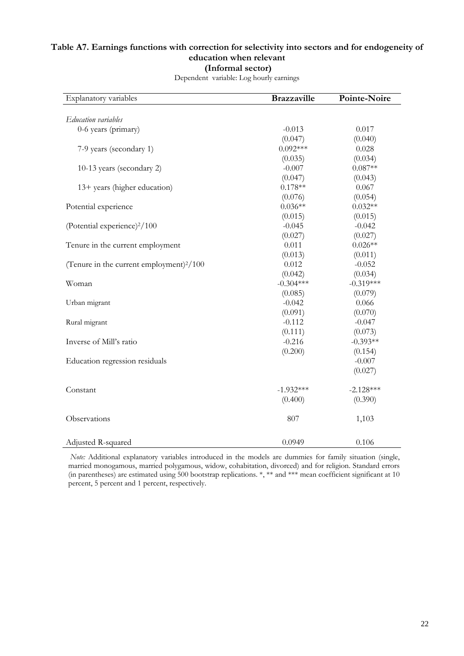### **Table A7. Earnings functions with correction for selectivity into sectors and for endogeneity of education when relevant (Informal sector)**

| Explanatory variables                                | <b>Brazzaville</b> | Pointe-Noire |
|------------------------------------------------------|--------------------|--------------|
|                                                      |                    |              |
| Education variables                                  |                    |              |
| 0-6 years (primary)                                  | $-0.013$           | 0.017        |
|                                                      | (0.047)            | (0.040)      |
| 7-9 years (secondary 1)                              | $0.092***$         | 0.028        |
|                                                      | (0.035)            | (0.034)      |
| 10-13 years (secondary 2)                            | $-0.007$           | $0.087**$    |
|                                                      | (0.047)            | (0.043)      |
| 13+ years (higher education)                         | $0.178**$          | 0.067        |
|                                                      | (0.076)            | (0.054)      |
| Potential experience                                 | $0.036**$          | $0.032**$    |
|                                                      | (0.015)            | (0.015)      |
| (Potential experience) <sup>2</sup> /100             | $-0.045$           | $-0.042$     |
|                                                      | (0.027)            | (0.027)      |
| Tenure in the current employment                     | 0.011              | $0.026**$    |
|                                                      | (0.013)            | (0.011)      |
| (Tenure in the current employment) <sup>2</sup> /100 | 0.012              | $-0.052$     |
|                                                      | (0.042)            | (0.034)      |
| Woman                                                | $-0.304***$        | $-0.319***$  |
|                                                      | (0.085)            | (0.079)      |
| Urban migrant                                        | $-0.042$           | 0.066        |
|                                                      | (0.091)            | (0.070)      |
| Rural migrant                                        | $-0.112$           | $-0.047$     |
|                                                      | (0.111)            | (0.073)      |
| Inverse of Mill's ratio                              | $-0.216$           | $-0.393**$   |
|                                                      | (0.200)            | (0.154)      |
| Education regression residuals                       |                    | $-0.007$     |
|                                                      |                    | (0.027)      |
| Constant                                             | $-1.932***$        | $-2.128***$  |
|                                                      | (0.400)            | (0.390)      |
| Observations                                         | 807                | 1,103        |
| Adjusted R-squared                                   | 0.0949             | 0.106        |

Dependent variable: Log hourly earnings

*Note:* Additional explanatory variables introduced in the models are dummies for family situation (single, married monogamous, married polygamous, widow, cohabitation, divorced) and for religion. Standard errors (in parentheses) are estimated using 500 bootstrap replications. \*, \*\* and \*\*\* mean coefficient significant at 10 percent, 5 percent and 1 percent, respectively.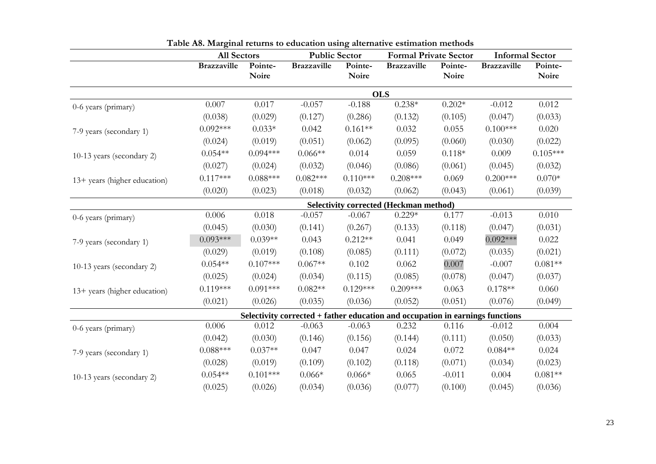|                              | <b>All Sectors</b> |                  | <b>Public Sector</b> |                  | <b>Formal Private Sector</b>                                                  |                  | <b>Informal Sector</b> |                  |
|------------------------------|--------------------|------------------|----------------------|------------------|-------------------------------------------------------------------------------|------------------|------------------------|------------------|
|                              | <b>Brazzaville</b> | Pointe-<br>Noire | <b>Brazzaville</b>   | Pointe-<br>Noire | <b>Brazzaville</b>                                                            | Pointe-<br>Noire | <b>Brazzaville</b>     | Pointe-<br>Noire |
|                              |                    |                  |                      |                  | <b>OLS</b>                                                                    |                  |                        |                  |
| 0-6 years (primary)          | 0.007              | 0.017            | $-0.057$             | $-0.188$         | $0.238*$                                                                      | $0.202*$         | $-0.012$               | 0.012            |
|                              | (0.038)            | (0.029)          | (0.127)              | (0.286)          | (0.132)                                                                       | (0.105)          | (0.047)                | (0.033)          |
| 7-9 years (secondary 1)      | $0.092***$         | $0.033*$         | 0.042                | $0.161**$        | 0.032                                                                         | 0.055            | $0.100***$             | 0.020            |
|                              | (0.024)            | (0.019)          | (0.051)              | (0.062)          | (0.095)                                                                       | (0.060)          | (0.030)                | (0.022)          |
| 10-13 years (secondary 2)    | $0.054**$          | $0.094***$       | $0.066**$            | 0.014            | 0.059                                                                         | $0.118*$         | 0.009                  | $0.105***$       |
|                              | (0.027)            | (0.024)          | (0.032)              | (0.046)          | (0.086)                                                                       | (0.061)          | (0.045)                | (0.032)          |
| 13+ years (higher education) | $0.117***$         | $0.088***$       | $0.082***$           | $0.110***$       | $0.208***$                                                                    | 0.069            | $0.200***$             | $0.070*$         |
|                              | (0.020)            | (0.023)          | (0.018)              | (0.032)          | (0.062)                                                                       | (0.043)          | (0.061)                | (0.039)          |
|                              |                    |                  |                      |                  | <b>Selectivity corrected (Heckman method)</b>                                 |                  |                        |                  |
| 0-6 years (primary)          | 0.006              | 0.018            | $-0.057$             | $-0.067$         | $0.229*$                                                                      | 0.177            | $-0.013$               | 0.010            |
|                              | (0.045)            | (0.030)          | (0.141)              | (0.267)          | (0.133)                                                                       | (0.118)          | (0.047)                | (0.031)          |
| 7-9 years (secondary 1)      | $0.093***$         | $0.039**$        | 0.043                | $0.212**$        | 0.041                                                                         | 0.049            | $0.092***$             | 0.022            |
|                              | (0.029)            | (0.019)          | (0.108)              | (0.085)          | (0.111)                                                                       | (0.072)          | (0.035)                | (0.021)          |
| 10-13 years (secondary 2)    | $0.054**$          | $0.107***$       | $0.067**$            | 0.102            | 0.062                                                                         | 0.007            | $-0.007$               | $0.081**$        |
|                              | (0.025)            | (0.024)          | (0.034)              | (0.115)          | (0.085)                                                                       | (0.078)          | (0.047)                | (0.037)          |
| 13+ years (higher education) | $0.119***$         | $0.091***$       | $0.082**$            | $0.129***$       | $0.209***$                                                                    | 0.063            | $0.178**$              | 0.060            |
|                              | (0.021)            | (0.026)          | (0.035)              | (0.036)          | (0.052)                                                                       | (0.051)          | (0.076)                | (0.049)          |
|                              |                    |                  |                      |                  | Selectivity corrected + father education and occupation in earnings functions |                  |                        |                  |
| 0-6 years (primary)          | 0.006              | 0.012            | $-0.063$             | $-0.063$         | 0.232                                                                         | 0.116            | $-0.012$               | 0.004            |
|                              | (0.042)            | (0.030)          | (0.146)              | (0.156)          | (0.144)                                                                       | (0.111)          | (0.050)                | (0.033)          |
| 7-9 years (secondary 1)      | $0.088***$         | $0.037**$        | 0.047                | 0.047            | 0.024                                                                         | 0.072            | $0.084**$              | 0.024            |
|                              | (0.028)            | (0.019)          | (0.109)              | (0.102)          | (0.118)                                                                       | (0.071)          | (0.034)                | (0.023)          |
| 10-13 years (secondary 2)    | $0.054**$          | $0.101***$       | $0.066*$             | $0.066*$         | 0.065                                                                         | $-0.011$         | 0.004                  | $0.081**$        |
|                              | (0.025)            | (0.026)          | (0.034)              | (0.036)          | (0.077)                                                                       | (0.100)          | (0.045)                | (0.036)          |

|  | Table A8. Marginal returns to education using alternative estimation methods |  |  |
|--|------------------------------------------------------------------------------|--|--|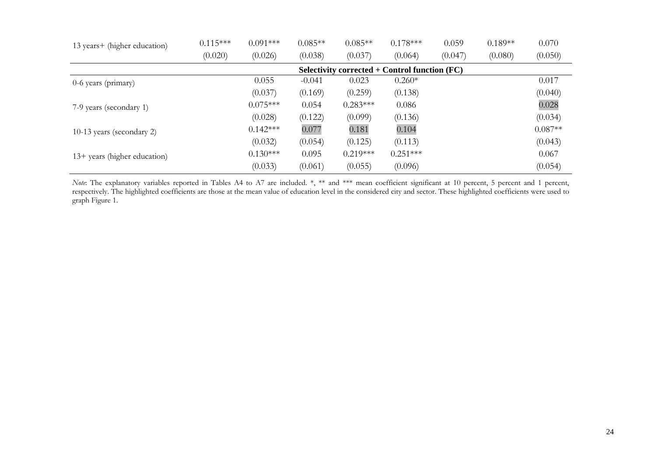| 13 years+ (higher education) | $0.115***$ | $0.091***$ | $0.085**$ | $0.085**$  | $0.178***$                                        | 0.059   | $0.189**$ | 0.070     |
|------------------------------|------------|------------|-----------|------------|---------------------------------------------------|---------|-----------|-----------|
|                              | (0.020)    | (0.026)    | (0.038)   | (0.037)    | (0.064)                                           | (0.047) | (0.080)   | (0.050)   |
|                              |            |            |           |            | Selectivity corrected $+$ Control function $(FC)$ |         |           |           |
| 0-6 years (primary)          |            | 0.055      | $-0.041$  | 0.023      | $0.260*$                                          |         |           | 0.017     |
|                              |            | (0.037)    | (0.169)   | (0.259)    | (0.138)                                           |         |           | (0.040)   |
| 7-9 years (secondary 1)      |            | $0.075***$ | 0.054     | $0.283***$ | 0.086                                             |         |           | 0.028     |
|                              |            | (0.028)    | (0.122)   | (0.099)    | (0.136)                                           |         |           | (0.034)   |
| 10-13 years (secondary 2)    |            | $0.142***$ | 0.077     | 0.181      | 0.104                                             |         |           | $0.087**$ |
|                              |            | (0.032)    | (0.054)   | (0.125)    | (0.113)                                           |         |           | (0.043)   |
| 13+ years (higher education) |            | $0.130***$ | 0.095     | $0.219***$ | $0.251***$                                        |         |           | 0.067     |
|                              |            | (0.033)    | (0.061)   | (0.055)    | (0.096)                                           |         |           | (0.054)   |

*Note*: The explanatory variables reported in Tables A4 to A7 are included. \*, \*\* and \*\*\* mean coefficient significant at 10 percent, 5 percent and 1 percent, respectively. The highlighted coefficients are those at the mean value of education level in the considered city and sector. These highlighted coefficients were used to graph Figure 1.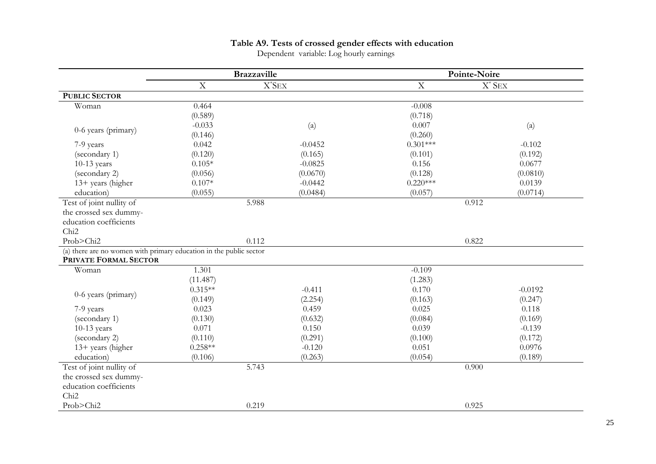# **Table A9. Tests of crossed gender effects with education**

Dependent variable: Log hourly earnings

|                                                                    | <b>Brazzaville</b> |                           | Pointe-Noire |                           |
|--------------------------------------------------------------------|--------------------|---------------------------|--------------|---------------------------|
|                                                                    | $\mathbf X$        | $X^*$ SEX                 | $\mathbf X$  | $X^*$ SEX                 |
| <b>PUBLIC SECTOR</b>                                               |                    |                           |              |                           |
| Woman                                                              | 0.464              |                           | $-0.008$     |                           |
|                                                                    | (0.589)            |                           | (0.718)      |                           |
| 0-6 years (primary)                                                | $-0.033$           | $\left( \text{a} \right)$ | 0.007        | $\left( \text{a} \right)$ |
|                                                                    | (0.146)            |                           | (0.260)      |                           |
| 7-9 years                                                          | 0.042              | $-0.0452$                 | $0.301***$   | $-0.102$                  |
| (secondary 1)                                                      | (0.120)            | (0.165)                   | (0.101)      | (0.192)                   |
| $10-13$ years                                                      | $0.105*$           | $-0.0825$                 | 0.156        | 0.0677                    |
| (secondary 2)                                                      | (0.056)            | (0.0670)                  | (0.128)      | (0.0810)                  |
| 13+ years (higher                                                  | $0.107*$           | $-0.0442$                 | $0.220***$   | 0.0139                    |
| education)                                                         | (0.055)            | (0.0484)                  | (0.057)      | (0.0714)                  |
| Test of joint nullity of                                           |                    | 5.988                     | 0.912        |                           |
| the crossed sex dummy-                                             |                    |                           |              |                           |
| education coefficients                                             |                    |                           |              |                           |
| Chi <sub>2</sub>                                                   |                    |                           |              |                           |
| Prob>Chi2                                                          |                    | 0.112                     |              | 0.822                     |
| (a) there are no women with primary education in the public sector |                    |                           |              |                           |
| PRIVATE FORMAL SECTOR                                              |                    |                           |              |                           |
| Woman                                                              | 1.301              |                           | $-0.109$     |                           |
|                                                                    | (11.487)           |                           | (1.283)      |                           |
| 0-6 years (primary)                                                | $0.315**$          | $-0.411$                  | 0.170        | $-0.0192$                 |
|                                                                    | (0.149)            | (2.254)                   | (0.163)      | (0.247)                   |
| 7-9 years                                                          | 0.023              | 0.459                     | 0.025        | 0.118                     |
| (secondary 1)                                                      | (0.130)            | (0.632)                   | (0.084)      | (0.169)                   |
| $10-13$ years                                                      | 0.071              | 0.150                     | 0.039        | $-0.139$                  |
| (secondary 2)                                                      | (0.110)            | (0.291)                   | (0.100)      | (0.172)                   |
| 13+ years (higher                                                  | $0.258**$          | $-0.120$                  | 0.051        | 0.0976                    |
| education)                                                         | (0.106)            | (0.263)                   | (0.054)      | (0.189)                   |
| Test of joint nullity of                                           | 5.743              |                           | 0.900        |                           |
| the crossed sex dummy-                                             |                    |                           |              |                           |
| education coefficients                                             |                    |                           |              |                           |
| Chi <sub>2</sub>                                                   |                    |                           |              |                           |
| Prob>Chi2                                                          |                    | 0.219                     |              | 0.925                     |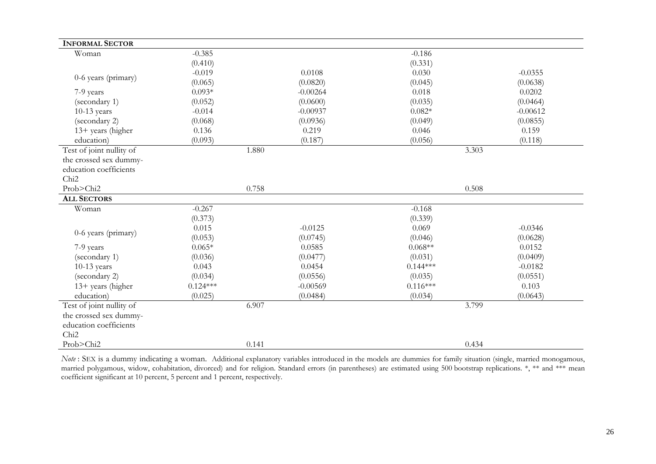| <b>INFORMAL SECTOR</b>   |            |            |            |            |
|--------------------------|------------|------------|------------|------------|
| Woman                    | $-0.385$   |            | $-0.186$   |            |
|                          | (0.410)    |            | (0.331)    |            |
| 0-6 years (primary)      | $-0.019$   | 0.0108     | 0.030      | $-0.0355$  |
|                          | (0.065)    | (0.0820)   | (0.045)    | (0.0638)   |
| 7-9 years                | $0.093*$   | $-0.00264$ | 0.018      | 0.0202     |
| (secondary 1)            | (0.052)    | (0.0600)   | (0.035)    | (0.0464)   |
| $10-13$ years            | $-0.014$   | $-0.00937$ | $0.082*$   | $-0.00612$ |
| (secondary 2)            | (0.068)    | (0.0936)   | (0.049)    | (0.0855)   |
| $13+$ years (higher      | 0.136      | 0.219      | 0.046      | 0.159      |
| education)               | (0.093)    | (0.187)    | (0.056)    | (0.118)    |
| Test of joint nullity of | 1.880      |            | 3.303      |            |
| the crossed sex dummy-   |            |            |            |            |
| education coefficients   |            |            |            |            |
| Chi <sub>2</sub>         |            |            |            |            |
| Prob>Chi2                | 0.758      |            | 0.508      |            |
| <b>ALL SECTORS</b>       |            |            |            |            |
| Woman                    | $-0.267$   |            | $-0.168$   |            |
|                          | (0.373)    |            | (0.339)    |            |
| 0-6 years (primary)      | 0.015      | $-0.0125$  | 0.069      | $-0.0346$  |
|                          | (0.053)    | (0.0745)   | (0.046)    | (0.0628)   |
| 7-9 years                | $0.065*$   | 0.0585     | $0.068**$  | 0.0152     |
| (secondary 1)            | (0.036)    | (0.0477)   | (0.031)    | (0.0409)   |
| $10-13$ years            | 0.043      | 0.0454     | $0.144***$ | $-0.0182$  |
| (secondary 2)            | (0.034)    | (0.0556)   | (0.035)    | (0.0551)   |
| $13+$ years (higher      | $0.124***$ | $-0.00569$ | $0.116***$ | 0.103      |
| education)               | (0.025)    | (0.0484)   | (0.034)    | (0.0643)   |
| Test of joint nullity of | 6.907      |            | 3.799      |            |
| the crossed sex dummy-   |            |            |            |            |
| education coefficients   |            |            |            |            |
| Chi <sub>2</sub>         |            |            |            |            |
| Prob>Chi2                |            | 0.141      | 0.434      |            |

*Note* : SEX is a dummy indicating a woman. Additional explanatory variables introduced in the models are dummies for family situation (single, married monogamous, married polygamous, widow, cohabitation, divorced) and for religion. Standard errors (in parentheses) are estimated using 500 bootstrap replications. \*, \*\* and \*\*\* mean coefficient significant at 10 percent, 5 percent and 1 percent, respectively.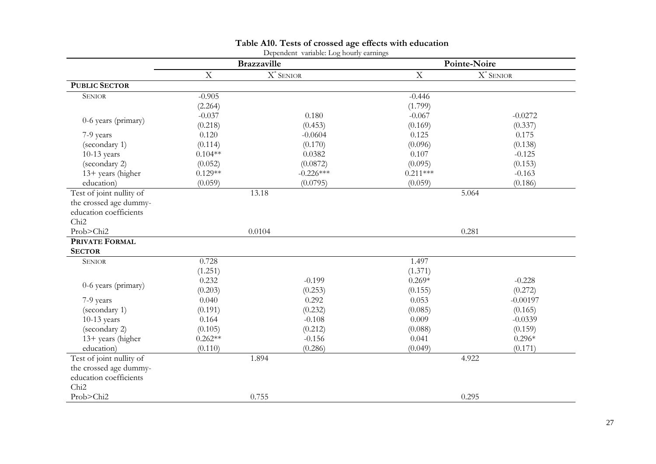| Dependent variable: Log hourly earnings |                           |                       |                           |              |
|-----------------------------------------|---------------------------|-----------------------|---------------------------|--------------|
|                                         | <b>Brazzaville</b>        |                       | Pointe-Noire              |              |
|                                         | $\boldsymbol{\mathrm{X}}$ | $\textbf{X}^*$ SENIOR | $\boldsymbol{\mathrm{X}}$ | $X^*$ SENIOR |
| <b>PUBLIC SECTOR</b>                    |                           |                       |                           |              |
| <b>SENIOR</b>                           | $-0.905$                  |                       | $-0.446$                  |              |
|                                         | (2.264)                   |                       | (1.799)                   |              |
| 0-6 years (primary)                     | $-0.037$                  | 0.180                 | $-0.067$                  | $-0.0272$    |
|                                         | (0.218)                   | (0.453)               | (0.169)                   | (0.337)      |
| 7-9 years                               | 0.120                     | $-0.0604$             | 0.125                     | 0.175        |
| (secondary 1)                           | (0.114)                   | (0.170)               | (0.096)                   | (0.138)      |
| $10-13$ years                           | $0.104**$                 | 0.0382                | 0.107                     | $-0.125$     |
| (secondary 2)                           | (0.052)                   | (0.0872)              | (0.095)                   | (0.153)      |
| 13+ years (higher                       | $0.129**$                 | $-0.226***$           | $0.211***$                | $-0.163$     |
| education)                              | (0.059)                   | (0.0795)              | (0.059)                   | (0.186)      |
| Test of joint nullity of                |                           | 13.18                 | 5.064                     |              |
| the crossed age dummy-                  |                           |                       |                           |              |
| education coefficients                  |                           |                       |                           |              |
| Chi <sub>2</sub>                        |                           |                       |                           |              |
| Prob>Chi2                               | 0.0104                    |                       | 0.281                     |              |
| <b>PRIVATE FORMAL</b>                   |                           |                       |                           |              |
| <b>SECTOR</b>                           |                           |                       |                           |              |
| <b>SENIOR</b>                           | 0.728                     |                       | 1.497                     |              |
|                                         | (1.251)                   |                       | (1.371)                   |              |
| 0-6 years (primary)                     | 0.232                     | $-0.199$              | $0.269*$                  | $-0.228$     |
|                                         | (0.203)                   | (0.253)               | (0.155)                   | (0.272)      |
| 7-9 years                               | 0.040                     | 0.292                 | 0.053                     | $-0.00197$   |
| (secondary 1)                           | (0.191)                   | (0.232)               | (0.085)                   | (0.165)      |
| $10-13$ years                           | 0.164                     | $-0.108$              | 0.009                     | $-0.0339$    |
| (secondary 2)                           | (0.105)                   | (0.212)               | (0.088)                   | (0.159)      |
| 13+ years (higher                       | $0.262**$                 | $-0.156$              | 0.041                     | $0.296*$     |
| education)                              | (0.110)                   | (0.286)               | (0.049)                   | (0.171)      |
| Test of joint nullity of                | 1.894                     |                       | 4.922                     |              |
| the crossed age dummy-                  |                           |                       |                           |              |
| education coefficients                  |                           |                       |                           |              |
| Chi <sub>2</sub>                        |                           |                       |                           |              |
| Prob>Chi2                               |                           | 0.755                 |                           | 0.295        |

#### **Table A10. Tests of crossed age effects with education**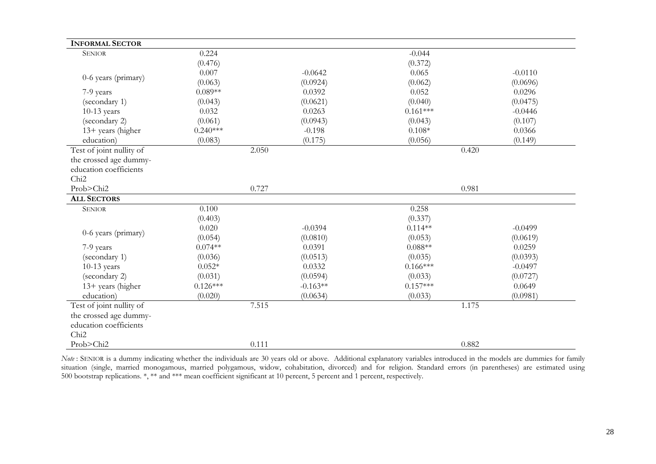| <b>INFORMAL SECTOR</b>   |            |            |            |           |  |
|--------------------------|------------|------------|------------|-----------|--|
| <b>SENIOR</b>            | 0.224      |            | $-0.044$   |           |  |
|                          | (0.476)    |            | (0.372)    |           |  |
| 0-6 years (primary)      | 0.007      | $-0.0642$  | 0.065      | $-0.0110$ |  |
|                          | (0.063)    | (0.0924)   | (0.062)    | (0.0696)  |  |
| 7-9 years                | $0.089**$  | 0.0392     | 0.052      | 0.0296    |  |
| (secondary 1)            | (0.043)    | (0.0621)   | (0.040)    | (0.0475)  |  |
| $10-13$ years            | 0.032      | 0.0263     | $0.161***$ | $-0.0446$ |  |
| (secondary 2)            | (0.061)    | (0.0943)   | (0.043)    | (0.107)   |  |
| 13+ years (higher        | $0.240***$ | $-0.198$   | $0.108*$   | 0.0366    |  |
| education)               | (0.083)    | (0.175)    | (0.056)    | (0.149)   |  |
| Test of joint nullity of |            | 2.050      | 0.420      |           |  |
| the crossed age dummy-   |            |            |            |           |  |
| education coefficients   |            |            |            |           |  |
| Chi <sub>2</sub>         |            |            |            |           |  |
| Prob>Chi2                |            | 0.727      |            | 0.981     |  |
| <b>ALL SECTORS</b>       |            |            |            |           |  |
| <b>SENIOR</b>            | 0.100      |            | 0.258      |           |  |
|                          | (0.403)    |            | (0.337)    |           |  |
| 0-6 years (primary)      | 0.020      | $-0.0394$  | $0.114**$  | $-0.0499$ |  |
|                          | (0.054)    | (0.0810)   | (0.053)    | (0.0619)  |  |
| 7-9 years                | $0.074**$  | 0.0391     | $0.088**$  | 0.0259    |  |
| (secondary 1)            | (0.036)    | (0.0513)   | (0.035)    | (0.0393)  |  |
| $10-13$ years            | $0.052*$   | 0.0332     | $0.166***$ | $-0.0497$ |  |
| (secondary 2)            | (0.031)    | (0.0594)   | (0.033)    | (0.0727)  |  |
| 13+ years (higher        | $0.126***$ | $-0.163**$ | $0.157***$ | 0.0649    |  |
| education)               | (0.020)    | (0.0634)   | (0.033)    | (0.0981)  |  |
| Test of joint nullity of | 7.515      |            | 1.175      |           |  |
| the crossed age dummy-   |            |            |            |           |  |
| education coefficients   |            |            |            |           |  |
| Chi <sub>2</sub>         |            |            |            |           |  |
| Prob>Chi2                |            | 0.111      | 0.882      |           |  |

*Note* : SENIOR is a dummy indicating whether the individuals are 30 years old or above. Additional explanatory variables introduced in the models are dummies for family situation (single, married monogamous, married polygamous, widow, cohabitation, divorced) and for religion. Standard errors (in parentheses) are estimated using 500 bootstrap replications. \*, \*\* and \*\*\* mean coefficient significant at 10 percent, 5 percent and 1 percent, respectively.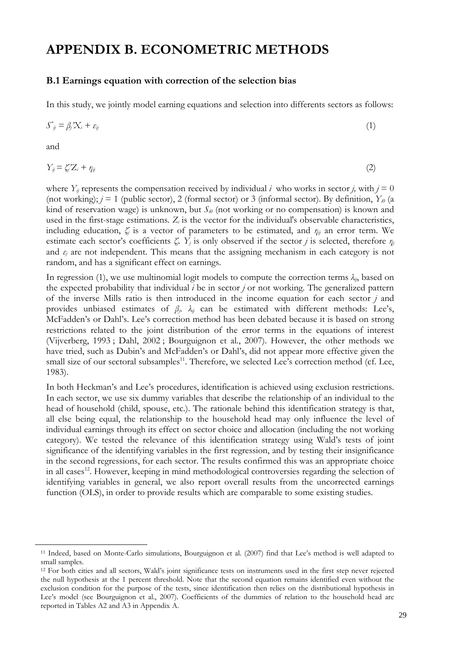# **APPENDIX B. ECONOMETRIC METHODS**

### **B.1 Earnings equation with correction of the selection bias**

In this study, we jointly model earning equations and selection into differents sectors as follows:

$$
S^*_{ij} = \beta_j' X_i + \varepsilon_{ij} \tag{1}
$$

and

 $\overline{a}$ 

$$
Y_{ij} = \zeta_i' Z_i + \eta_{ij} \tag{2}
$$

where  $Y_{ij}$  represents the compensation received by individual *i* who works in sector *j*, with  $j = 0$ (not working);  $j = 1$  (public sector), 2 (formal sector) or 3 (informal sector). By definition,  $Y_{i0}$  (a kind of reservation wage) is unknown, but  $S_{i0}$  (not working or no compensation) is known and used in the first-stage estimations.  $Z_i$  is the vector for the individual's observable characteristics, including education, *ζj* is a vector of parameters to be estimated, and *ηij* an error term. We estimate each sector's coefficients  $\zeta$ ,  $Y_j$  is only observed if the sector *j* is selected, therefore  $\eta_j$ and  $\varepsilon_i$  are not independent. This means that the assigning mechanism in each category is not random, and has a significant effect on earnings.

In regression (1), we use multinomial logit models to compute the correction terms  $\lambda_{ij}$ , based on the expected probability that individual *i* be in sector *j* or not working. The generalized pattern of the inverse Mills ratio is then introduced in the income equation for each sector *j* and provides unbiased estimates of *βj*. *λij* can be estimated with different methods: Lee's, McFadden's or Dahl's. Lee's correction method has been debated because it is based on strong restrictions related to the joint distribution of the error terms in the equations of interest (Vijverberg, 1993 ; Dahl, 2002 ; Bourguignon et al., 2007). However, the other methods we have tried, such as Dubin's and McFadden's or Dahl's, did not appear more effective given the small size of our sectoral subsamples<sup>11</sup>. Therefore, we selected Lee's correction method (cf. Lee, 1983).

In both Heckman's and Lee's procedures, identification is achieved using exclusion restrictions. In each sector, we use six dummy variables that describe the relationship of an individual to the head of household (child, spouse, etc.). The rationale behind this identification strategy is that, all else being equal, the relationship to the household head may only influence the level of individual earnings through its effect on sector choice and allocation (including the not working category). We tested the relevance of this identification strategy using Wald's tests of joint significance of the identifying variables in the first regression, and by testing their insignificance in the second regressions, for each sector. The results confirmed this was an appropriate choice in all cases<sup>12</sup>. However, keeping in mind methodological controversies regarding the selection of identifying variables in general, we also report overall results from the uncorrected earnings function (OLS), in order to provide results which are comparable to some existing studies.

<sup>11</sup> Indeed, based on Monte-Carlo simulations, Bourguignon et al. (2007) find that Lee's method is well adapted to small samples.

<sup>12</sup> For both cities and all sectors, Wald's joint significance tests on instruments used in the first step never rejected the null hypothesis at the 1 percent threshold. Note that the second equation remains identified even without the exclusion condition for the purpose of the tests, since identification then relies on the distributional hypothesis in Lee's model (see Bourguignon et al., 2007). Coefficients of the dummies of relation to the household head are reported in Tables A2 and A3 in Appendix A.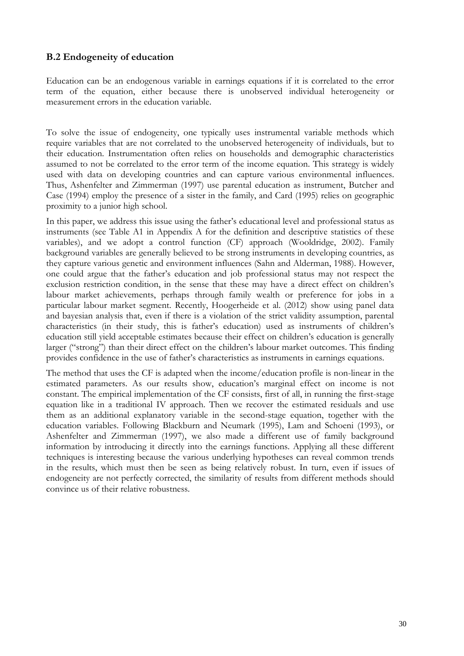# **B.2 Endogeneity of education**

Education can be an endogenous variable in earnings equations if it is correlated to the error term of the equation, either because there is unobserved individual heterogeneity or measurement errors in the education variable.

To solve the issue of endogeneity, one typically uses instrumental variable methods which require variables that are not correlated to the unobserved heterogeneity of individuals, but to their education. Instrumentation often relies on households and demographic characteristics assumed to not be correlated to the error term of the income equation. This strategy is widely used with data on developing countries and can capture various environmental influences. Thus, Ashenfelter and Zimmerman (1997) use parental education as instrument, Butcher and Case (1994) employ the presence of a sister in the family, and Card (1995) relies on geographic proximity to a junior high school.

In this paper, we address this issue using the father's educational level and professional status as instruments (see Table A1 in Appendix A for the definition and descriptive statistics of these variables), and we adopt a control function (CF) approach (Wooldridge, 2002). Family background variables are generally believed to be strong instruments in developing countries, as they capture various genetic and environment influences (Sahn and Alderman, 1988). However, one could argue that the father's education and job professional status may not respect the exclusion restriction condition, in the sense that these may have a direct effect on children's labour market achievements, perhaps through family wealth or preference for jobs in a particular labour market segment. Recently, Hoogerheide et al. (2012) show using panel data and bayesian analysis that, even if there is a violation of the strict validity assumption, parental characteristics (in their study, this is father's education) used as instruments of children's education still yield acceptable estimates because their effect on children's education is generally larger ("strong") than their direct effect on the children's labour market outcomes. This finding provides confidence in the use of father's characteristics as instruments in earnings equations.

The method that uses the CF is adapted when the income/education profile is non-linear in the estimated parameters. As our results show, education's marginal effect on income is not constant. The empirical implementation of the CF consists, first of all, in running the first-stage equation like in a traditional IV approach. Then we recover the estimated residuals and use them as an additional explanatory variable in the second-stage equation, together with the education variables. Following Blackburn and Neumark (1995), Lam and Schoeni (1993), or Ashenfelter and Zimmerman (1997), we also made a different use of family background information by introducing it directly into the earnings functions. Applying all these different techniques is interesting because the various underlying hypotheses can reveal common trends in the results, which must then be seen as being relatively robust. In turn, even if issues of endogeneity are not perfectly corrected, the similarity of results from different methods should convince us of their relative robustness.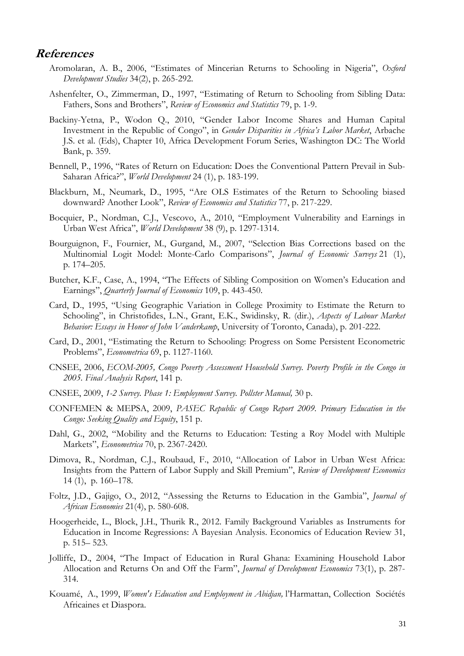# **References**

- Aromolaran, A. B., 2006, "Estimates of Mincerian Returns to Schooling in Nigeria", *Oxford Development Studies* 34(2), p. 265-292.
- Ashenfelter, O., Zimmerman, D., 1997, "Estimating of Return to Schooling from Sibling Data: Fathers, Sons and Brothers", *Review of Economics and Statistics* 79, p. 1-9.
- Backiny-Yetna, P., Wodon Q., 2010, "Gender Labor Income Shares and Human Capital Investment in the Republic of Congo", in *Gender Disparities in Africa's Labor Market*, Arbache J.S. et al. (Eds), Chapter 10, Africa Development Forum Series, Washington DC: The World Bank, p. 359.
- Bennell, P., 1996, "Rates of Return on Education: Does the Conventional Pattern Prevail in Sub-Saharan Africa?", *World Development* 24 (1), p. 183-199.
- Blackburn, M., Neumark, D., 1995, "Are OLS Estimates of the Return to Schooling biased downward? Another Look", *Review of Economics and Statistics* 77, p. 217-229.
- Bocquier, P., Nordman, C.J., Vescovo, A., 2010, "Employment Vulnerability and Earnings in Urban West Africa", *World Development* 38 (9), p. 1297-1314.
- Bourguignon, F., Fournier, M., Gurgand, M., 2007, "Selection Bias Corrections based on the Multinomial Logit Model: Monte-Carlo Comparisons", *Journal of Economic Surveys* 21 (1), p. 174–205.
- Butcher, K.F., Case, A., 1994, "The Effects of Sibling Composition on Women's Education and Earnings", *Quarterly Journal of Economics* 109, p. 443-450.
- Card, D., 1995, "Using Geographic Variation in College Proximity to Estimate the Return to Schooling", in Christofides, L.N., Grant, E.K., Swidinsky, R. (dir.), *Aspects of Labour Market Behavior: Essays in Honor of John Vanderkamp*, University of Toronto, Canada), p. 201-222.
- Card, D., 2001, "Estimating the Return to Schooling: Progress on Some Persistent Econometric Problems", *Econometrica* 69, p. 1127-1160.
- CNSEE, 2006, *ECOM-2005, Congo Poverty Assessment Household Survey. Poverty Profile in the Congo in 2005. Final Analysis Report*, 141 p.
- CNSEE, 2009, *1-2 Survey. Phase 1: Employment Survey. Pollster Manual,* 30 p.
- CONFEMEN & MEPSA, 2009, *PASEC Republic of Congo Report 2009. Primary Education in the Congo: Seeking Quality and Equity*, 151 p.
- Dahl, G., 2002, "Mobility and the Returns to Education: Testing a Roy Model with Multiple Markets", *Econometrica* 70, p. 2367-2420.
- Dimova, R., Nordman, C.J., Roubaud, F., 2010, "Allocation of Labor in Urban West Africa: Insights from the Pattern of Labor Supply and Skill Premium", *Review of Development Economics* 14 (1), p. 160–178.
- Foltz, J.D., Gajigo, O., 2012, "Assessing the Returns to Education in the Gambia", *Journal of African Economies* 21(4), p. 580-608.
- Hoogerheide, L., Block, J.H., Thurik R., 2012. Family Background Variables as Instruments for Education in Income Regressions: A Bayesian Analysis. Economics of Education Review 31, p. 515– 523.
- Jolliffe, D., 2004, "The Impact of Education in Rural Ghana: Examining Household Labor Allocation and Returns On and Off the Farm", *Journal of Development Economics* 73(1), p. 287- 314.
- Kouamé, A., 1999, *Women's Education and Employment in Abidjan,* l'Harmattan, Collection Sociétés Africaines et Diaspora.